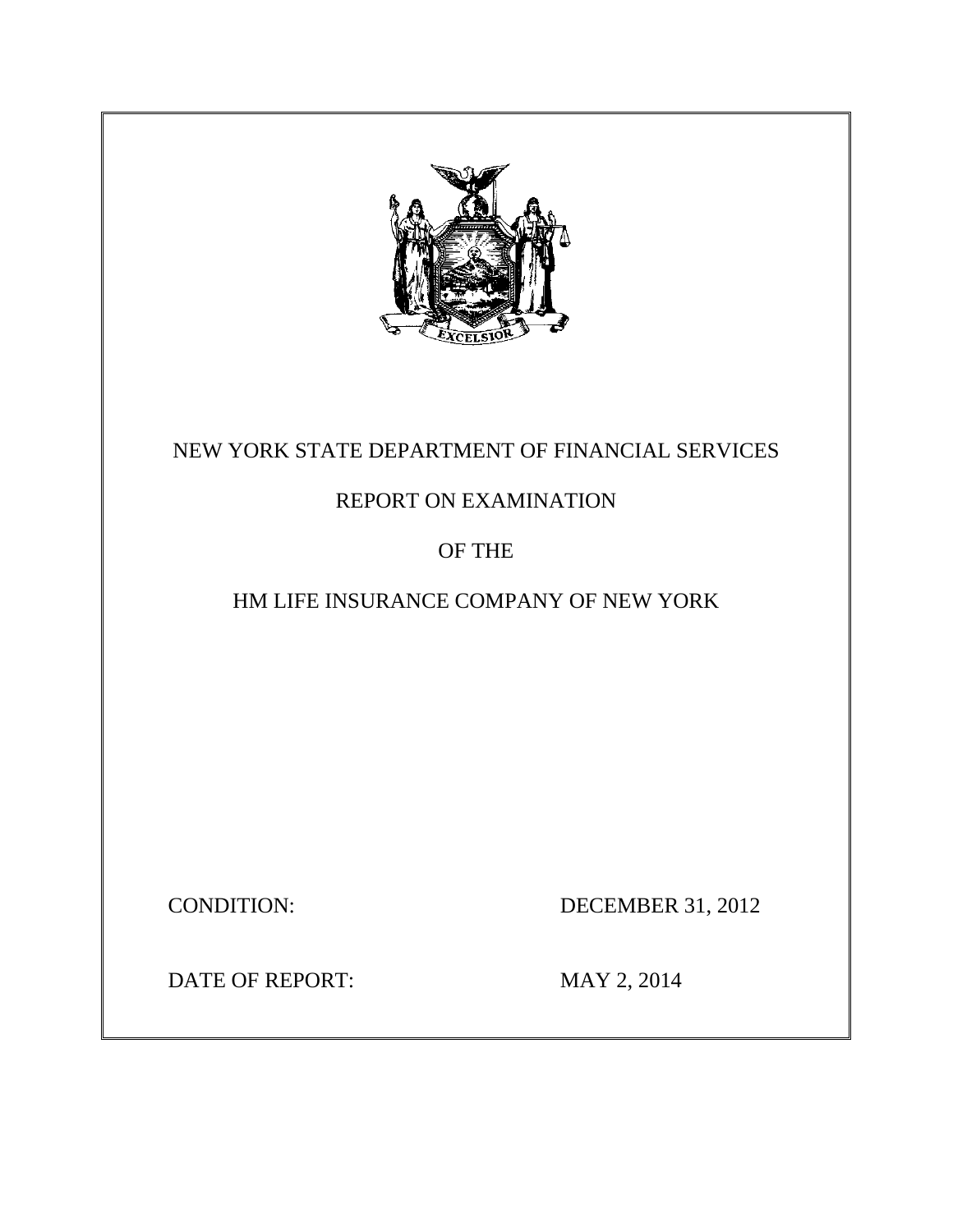

# NEW YORK STATE DEPARTMENT OF FINANCIAL SERVICES

# REPORT ON EXAMINATION

# OF THE

# HM LIFE INSURANCE COMPANY OF NEW YORK

**CONDITION:** 

DECEMBER 31, 2012

DATE OF REPORT: MAY 2, 2014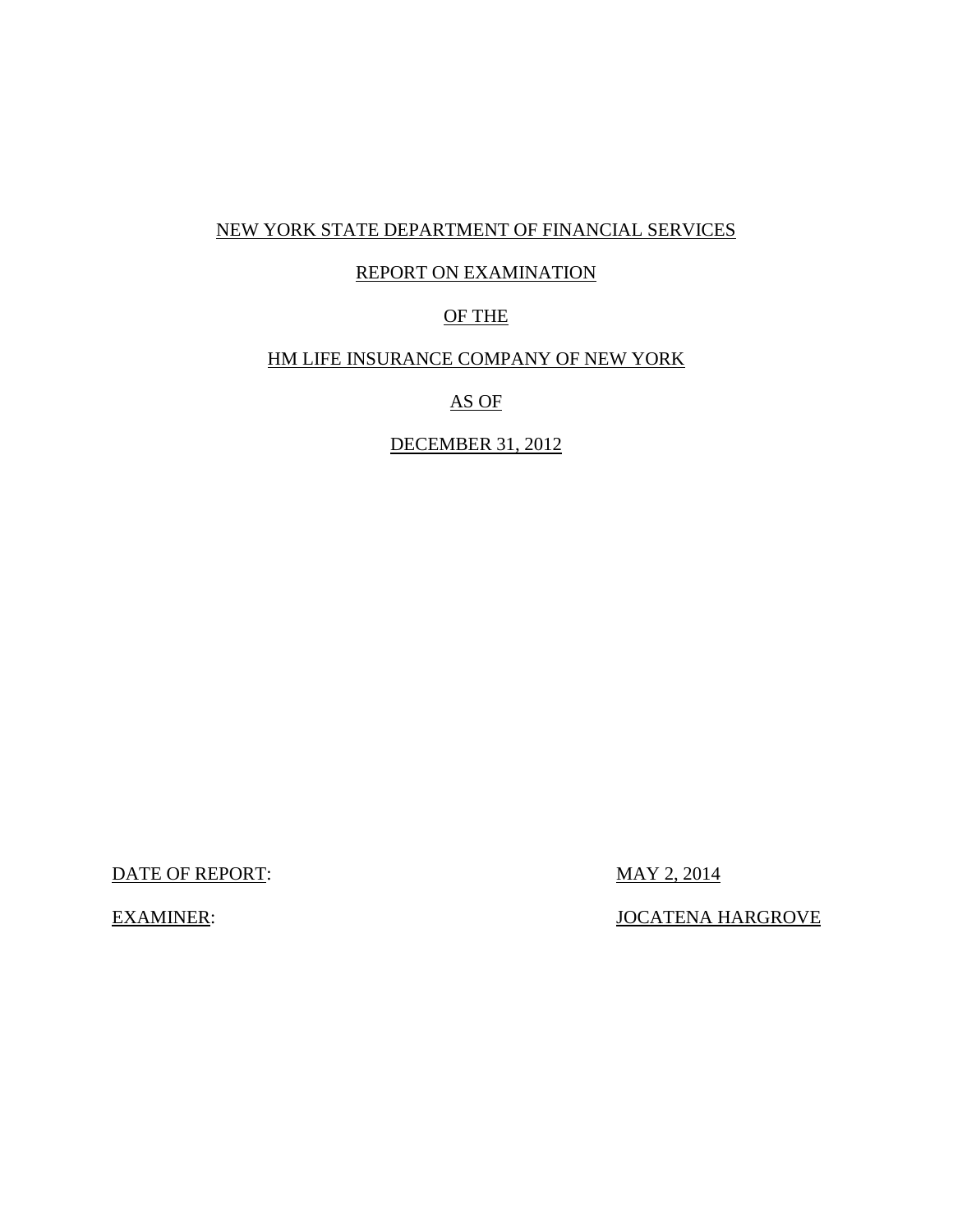## NEW YORK STATE DEPARTMENT OF FINANCIAL SERVICES

# REPORT ON EXAMINATION

## OF THE

## HM LIFE INSURANCE COMPANY OF NEW YORK

AS OF

DECEMBER 31, 2012

DATE OF REPORT: MAY 2, 2014

**EXAMINER:** 

**JOCATENA HARGROVE**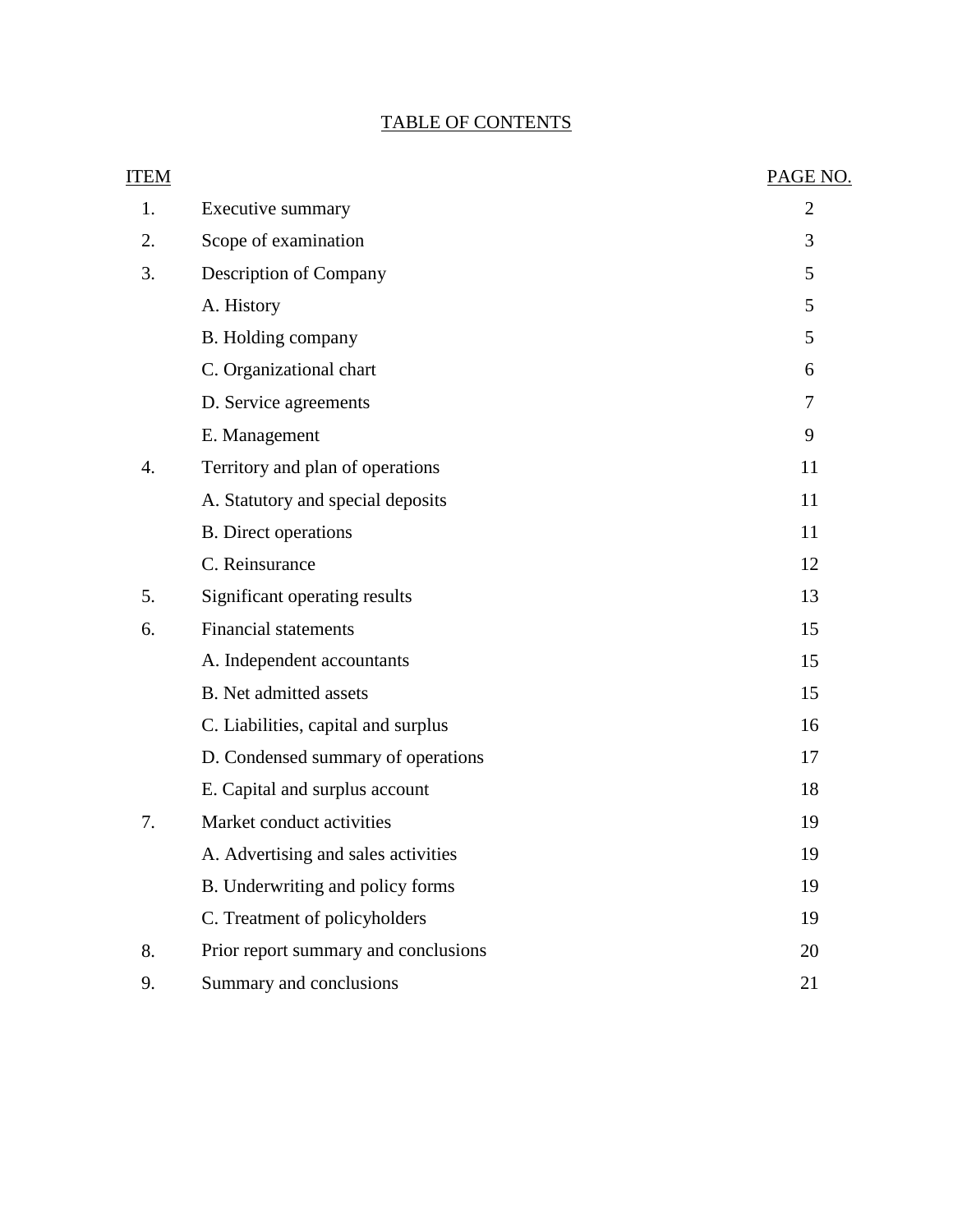# TABLE OF CONTENTS

| <b>ITEM</b> |                                      | PAGE NO.       |
|-------------|--------------------------------------|----------------|
| 1.          | Executive summary                    | $\overline{2}$ |
| 2.          | Scope of examination                 | 3              |
| 3.          | Description of Company               | 5              |
|             | A. History                           | 5              |
|             | B. Holding company                   | 5              |
|             | C. Organizational chart              | 6              |
|             | D. Service agreements                | 7              |
|             | E. Management                        | 9              |
| 4.          | Territory and plan of operations     | 11             |
|             | A. Statutory and special deposits    | 11             |
|             | <b>B.</b> Direct operations          | 11             |
|             | C. Reinsurance                       | 12             |
| 5.          | Significant operating results        | 13             |
| 6.          | <b>Financial statements</b>          | 15             |
|             | A. Independent accountants           | 15             |
|             | <b>B.</b> Net admitted assets        | 15             |
|             | C. Liabilities, capital and surplus  | 16             |
|             | D. Condensed summary of operations   | 17             |
|             | E. Capital and surplus account       | 18             |
| 7.          | Market conduct activities            | 19             |
|             | A. Advertising and sales activities  | 19             |
|             | B. Underwriting and policy forms     | 19             |
|             | C. Treatment of policyholders        | 19             |
| 8.          | Prior report summary and conclusions | 20             |
| 9.          | Summary and conclusions              | 21             |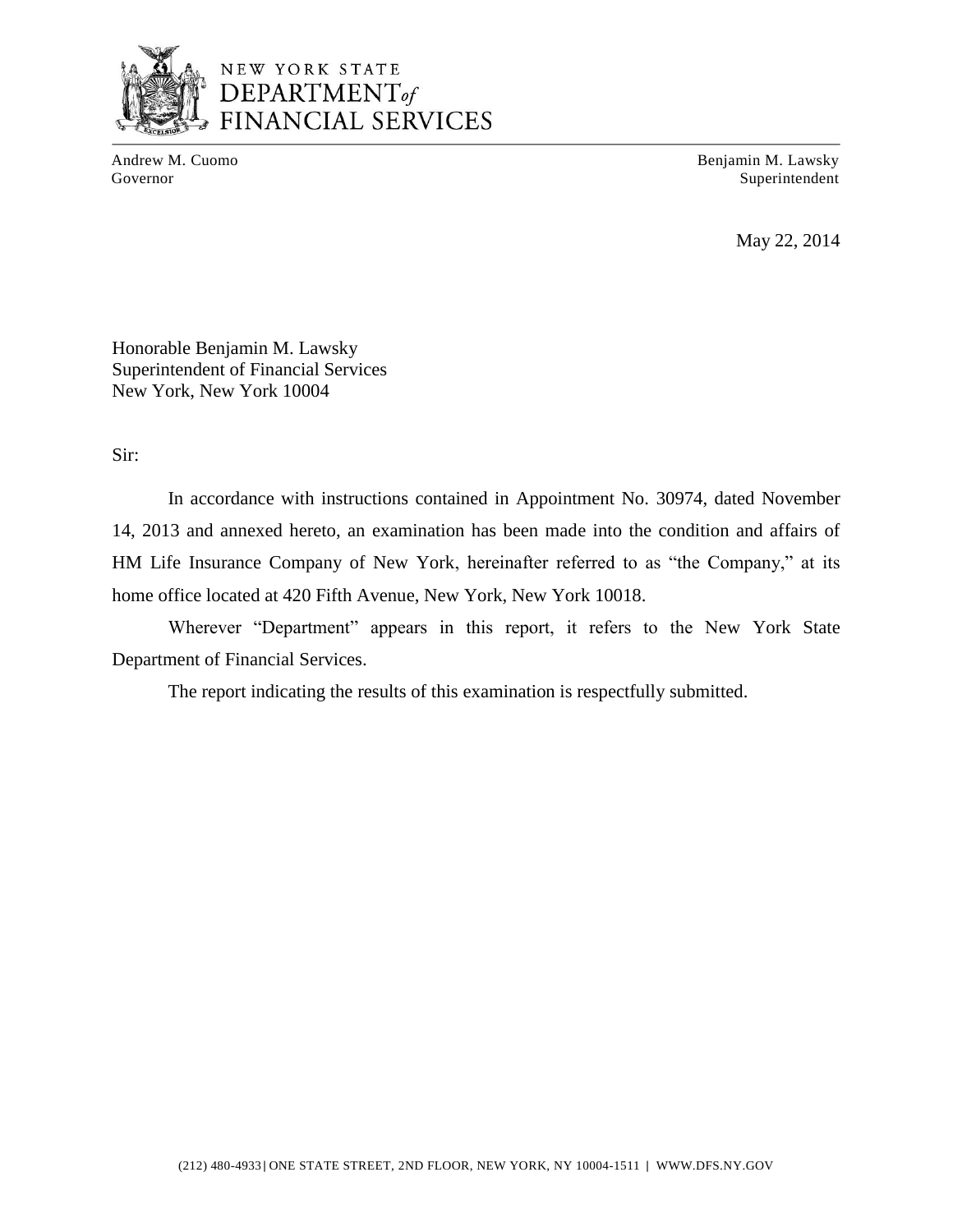

# NEW YORK STATE DEPARTMENT<sub>of</sub> FINANCIAL SERVICES

Andrew M. Cuomo **Benjamin M. Lawsky** Governor Superintendent

May 22, 2014

Honorable Benjamin M. Lawsky Superintendent of Financial Services New York, New York 10004

Sir:

 14, 2013 and annexed hereto, an examination has been made into the condition and affairs of HM Life Insurance Company of New York, hereinafter referred to as "the Company," at its home office located at 420 Fifth Avenue, New York, New York 10018. In accordance with instructions contained in Appointment No. 30974, dated November

Wherever "Department" appears in this report, it refers to the New York State Department of Financial Services.

The report indicating the results of this examination is respectfully submitted.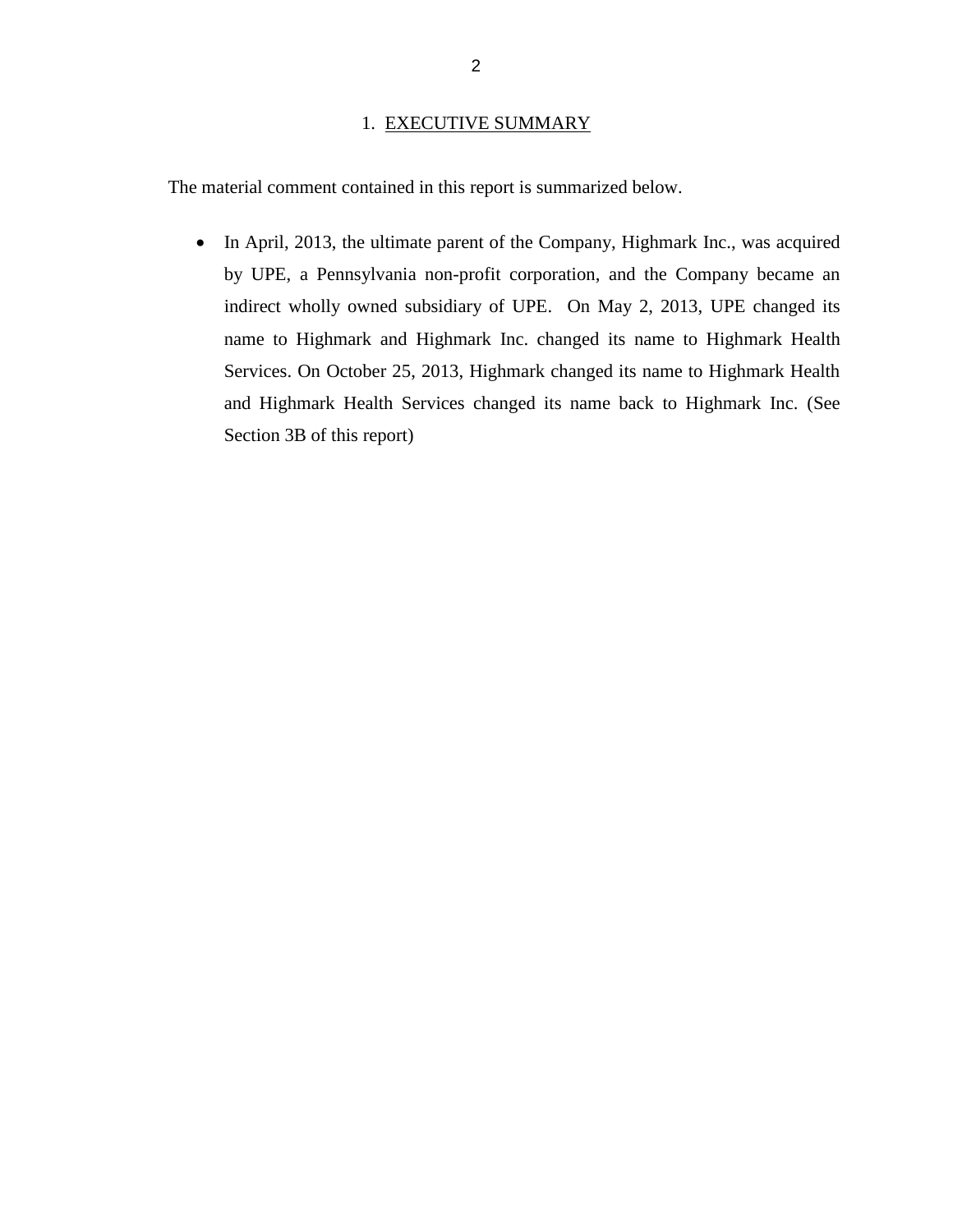### 1. EXECUTIVE SUMMARY

<span id="page-4-0"></span>The material comment contained in this report is summarized below.

• In April, 2013, the ultimate parent of the Company, Highmark Inc., was acquired by UPE, a Pennsylvania non-profit corporation, and the Company became an indirect wholly owned subsidiary of UPE. On May 2, 2013, UPE changed its Services. On October 25, 2013, Highmark changed its name to Highmark Health and Highmark Health Services changed its name back to Highmark Inc. (See name to Highmark and Highmark Inc. changed its name to Highmark Health Section 3B of this report)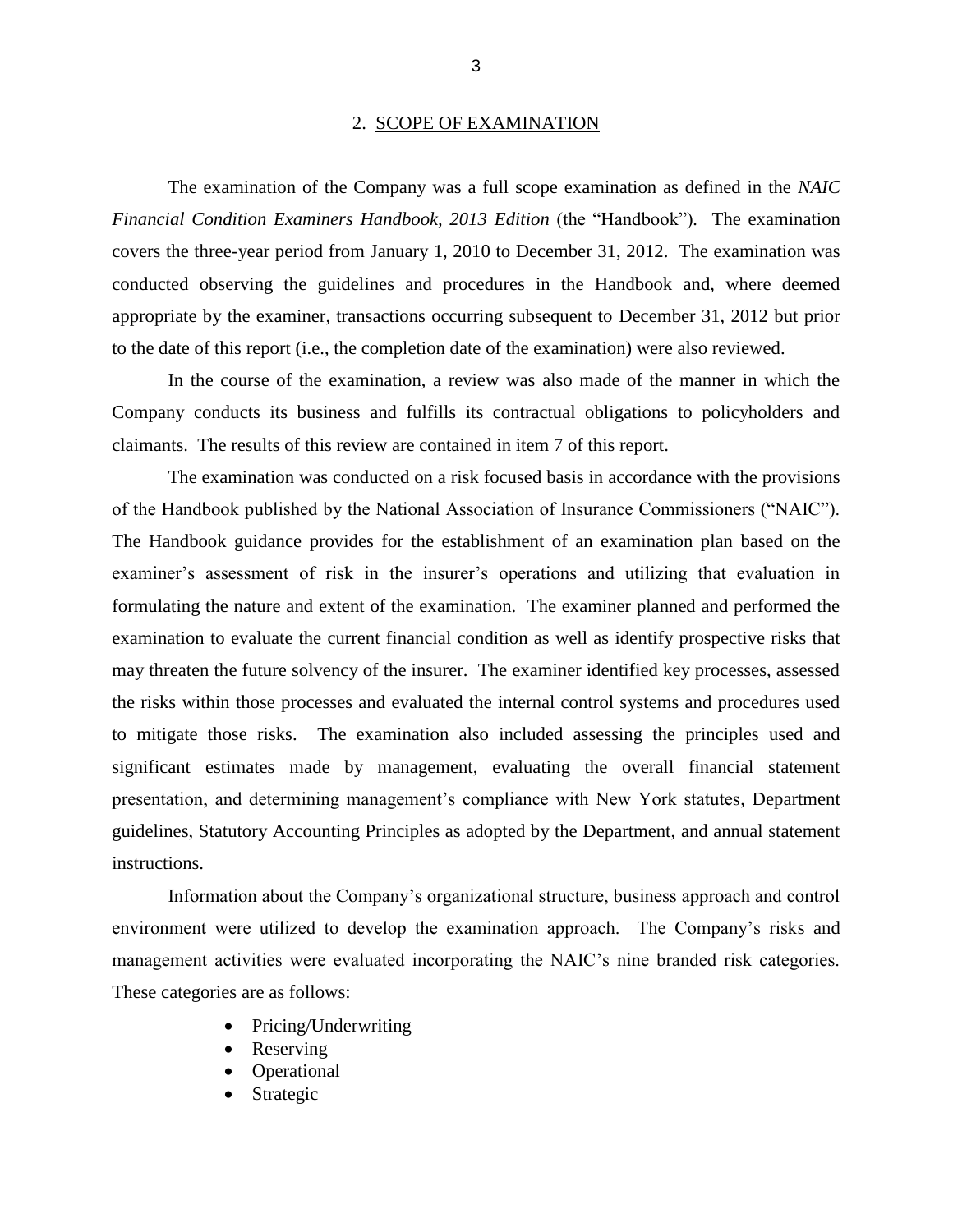#### 2. SCOPE OF EXAMINATION

<span id="page-5-0"></span> *Financial Condition Examiners Handbook, 2013 Edition* (the "Handbook")*.* The examination covers the three-year period from January 1, 2010 to December 31, 2012. The examination was conducted observing the guidelines and procedures in the Handbook and, where deemed appropriate by the examiner, transactions occurring subsequent to December 31, 2012 but prior The examination of the Company was a full scope examination as defined in the *NAIC*  to the date of this report (i.e., the completion date of the examination) were also reviewed.

 In the course of the examination, a review was also made of the manner in which the Company conducts its business and fulfills its contractual obligations to policyholders and claimants. The results of this review are contained in item 7 of this report.

 of the Handbook published by the National Association of Insurance Commissioners ("NAIC"). examiner's assessment of risk in the insurer's operations and utilizing that evaluation in formulating the nature and extent of the examination. The examiner planned and performed the examination to evaluate the current financial condition as well as identify prospective risks that may threaten the future solvency of the insurer. The examiner identified key processes, assessed to mitigate those risks. The examination also included assessing the principles used and significant estimates made by management, evaluating the overall financial statement presentation, and determining management's compliance with New York statutes, Department guidelines, Statutory Accounting Principles as adopted by the Department, and annual statement The examination was conducted on a risk focused basis in accordance with the provisions The Handbook guidance provides for the establishment of an examination plan based on the the risks within those processes and evaluated the internal control systems and procedures used instructions.

 environment were utilized to develop the examination approach. The Company's risks and management activities were evaluated incorporating the NAIC's nine branded risk categories. These categories are as follows: Information about the Company's organizational structure, business approach and control

- Pricing/Underwriting
- Reserving
- Operational
- Strategic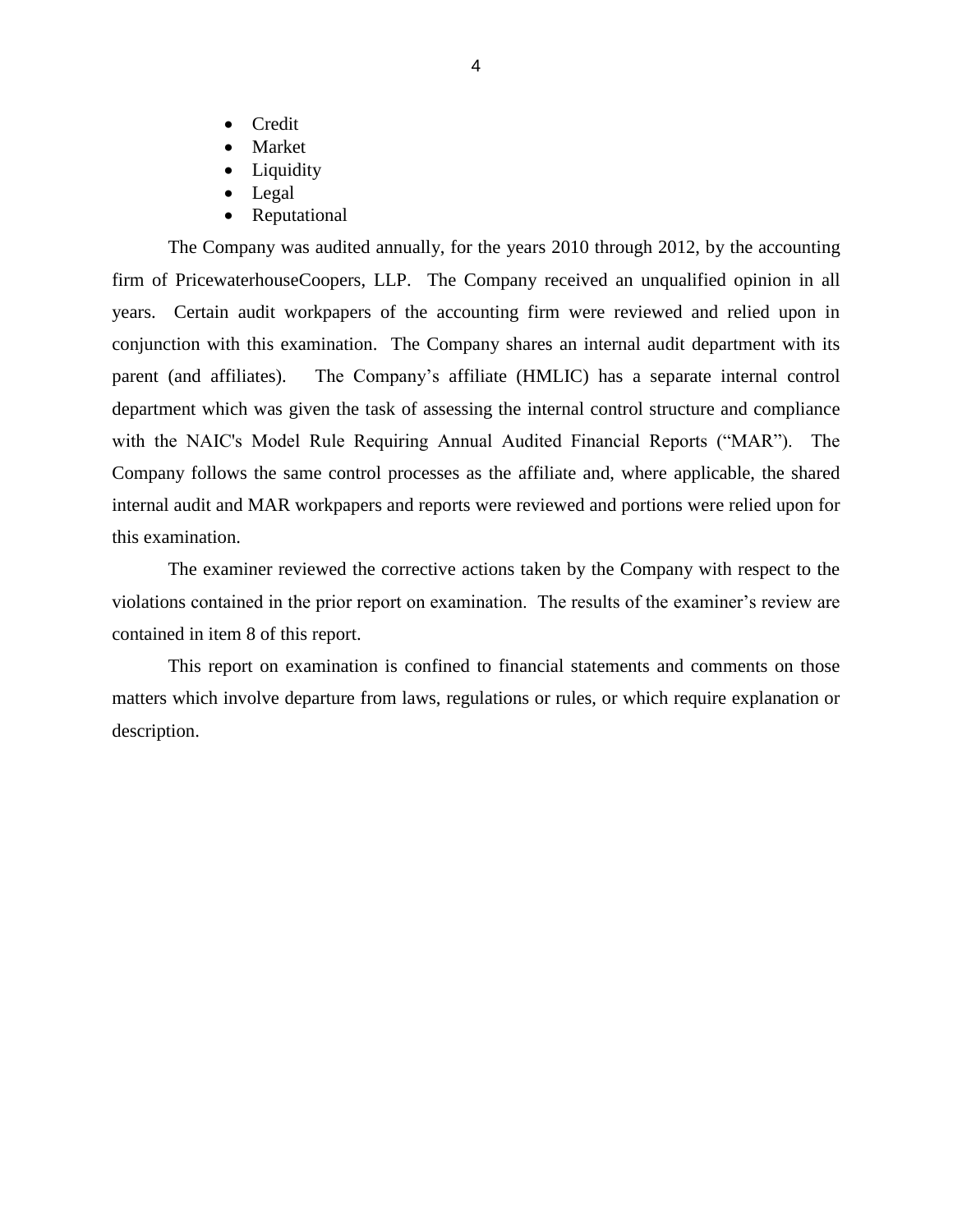- Credit
- Market
- Liquidity
- Legal
- Reputational

 The Company was audited annually, for the years 2010 through 2012, by the accounting firm of PricewaterhouseCoopers, LLP. The Company received an unqualified opinion in all years. Certain audit workpapers of the accounting firm were reviewed and relied upon in conjunction with this examination. The Company shares an internal audit department with its parent (and affiliates). department which was given the task of assessing the internal control structure and compliance with the NAIC's Model Rule Requiring Annual Audited Financial Reports ("MAR"). The Company follows the same control processes as the affiliate and, where applicable, the shared The Company's affiliate (HMLIC) has a separate internal control internal audit and MAR workpapers and reports were reviewed and portions were relied upon for this examination.

 violations contained in the prior report on examination. The results of the examiner's review are The examiner reviewed the corrective actions taken by the Company with respect to the contained in item 8 of this report.

 matters which involve departure from laws, regulations or rules, or which require explanation or This report on examination is confined to financial statements and comments on those description.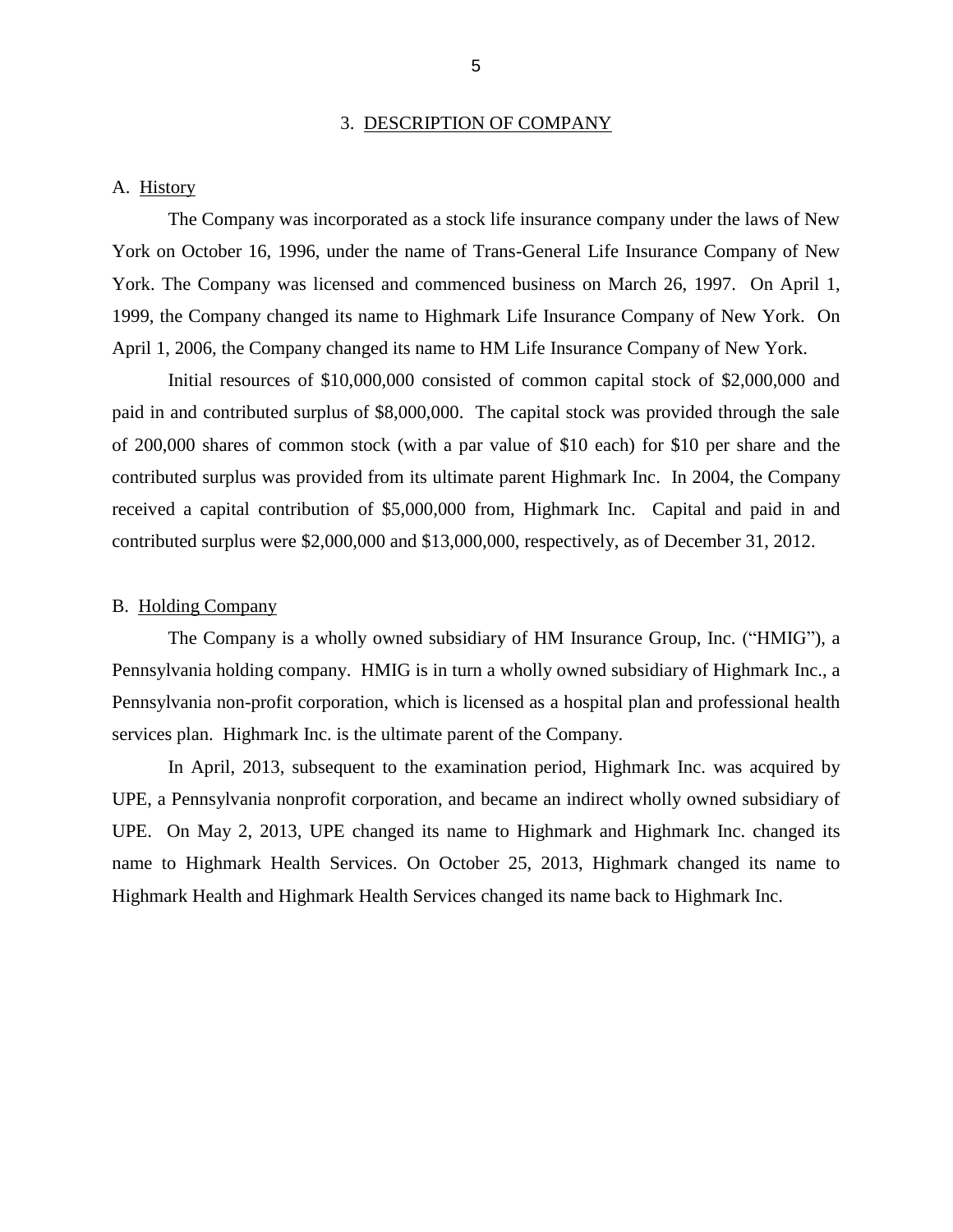#### 3. DESCRIPTION OF COMPANY

#### <span id="page-7-0"></span>A. History

 The Company was incorporated as a stock life insurance company under the laws of New York on October 16, 1996, under the name of Trans-General Life Insurance Company of New York. The Company was licensed and commenced business on March 26, 1997. On April 1, 1999, the Company changed its name to Highmark Life Insurance Company of New York. On April 1, 2006, the Company changed its name to HM Life Insurance Company of New York.

 paid in and contributed surplus of \$8,000,000. The capital stock was provided through the sale of 200,000 shares of common stock (with a par value of \$10 each) for \$10 per share and the contributed surplus was provided from its ultimate parent Highmark Inc. In 2004, the Company received a capital contribution of \$5,000,000 from, Highmark Inc. Capital and paid in and Initial resources of \$10,000,000 consisted of common capital stock of \$2,000,000 and contributed surplus were \$2,000,000 and \$13,000,000, respectively, as of December 31, 2012.

#### B. Holding Company

 Pennsylvania holding company. HMIG is in turn a wholly owned subsidiary of Highmark Inc., a services plan. Highmark Inc. is the ultimate parent of the Company. The Company is a wholly owned subsidiary of HM Insurance Group, Inc. ("HMIG"), a Pennsylvania non-profit corporation, which is licensed as a hospital plan and professional health

 UPE, a Pennsylvania nonprofit corporation, and became an indirect wholly owned subsidiary of UPE. On May 2, 2013, UPE changed its name to Highmark and Highmark Inc. changed its Highmark Health and Highmark Health Services changed its name back to Highmark Inc. In April, 2013, subsequent to the examination period, Highmark Inc. was acquired by name to Highmark Health Services. On October 25, 2013, Highmark changed its name to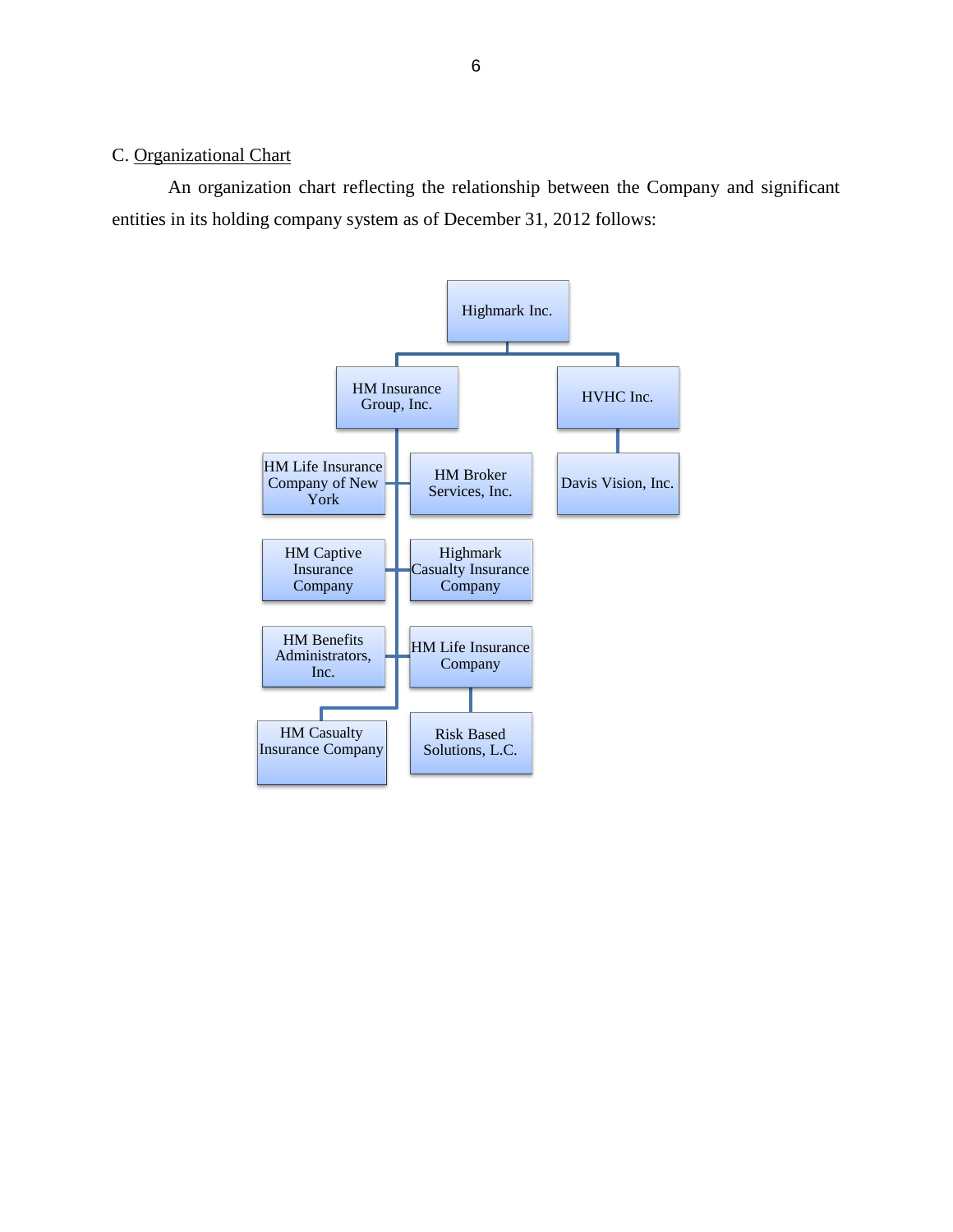## <span id="page-8-0"></span>C. Organizational Chart

 An organization chart reflecting the relationship between the Company and significant entities in its holding company system as of December 31, 2012 follows:

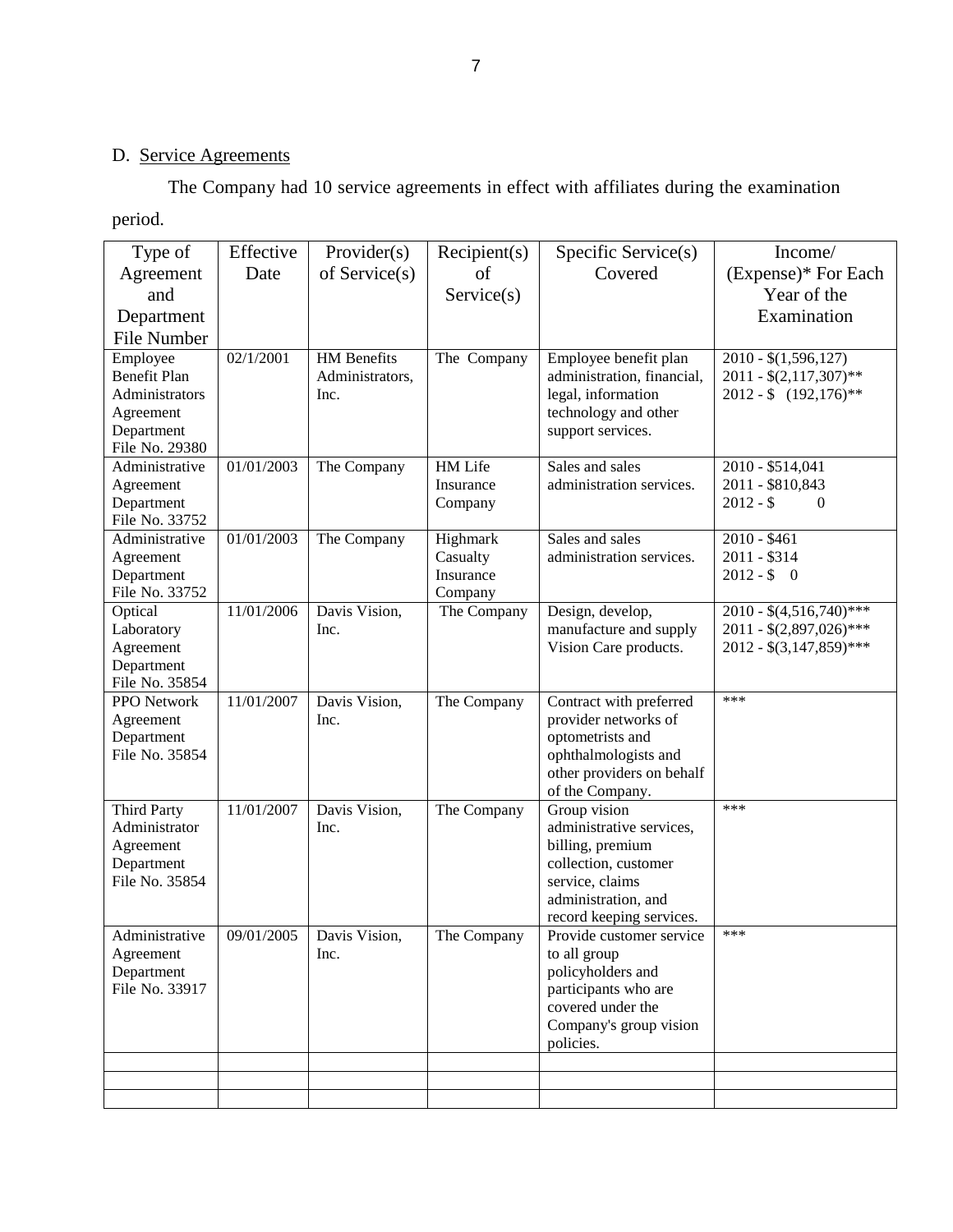# D. Service Agreements

The Company had 10 service agreements in effect with affiliates during the examination period.

| Type of                 | Effective  | Provider(s)           | Recipient(s) | Specific Service(s)                             | Income/                       |
|-------------------------|------------|-----------------------|--------------|-------------------------------------------------|-------------------------------|
| Agreement               | Date       | of $S$ ervice $(s)$   | of           | Covered                                         | (Expense)* For Each           |
| and                     |            |                       | Service(s)   |                                                 | Year of the                   |
| Department              |            |                       |              |                                                 | Examination                   |
| <b>File Number</b>      |            |                       |              |                                                 |                               |
| Employee                | 02/1/2001  | <b>HM</b> Benefits    | The Company  | Employee benefit plan                           | $2010 - $(1,596,127)$         |
| <b>Benefit Plan</b>     |            | Administrators,       |              | administration, financial,                      | $2011 - $(2,117,307)**$       |
| Administrators          |            | Inc.                  |              | legal, information                              | $2012 - $ (192,176)$ **       |
| Agreement               |            |                       |              | technology and other                            |                               |
| Department              |            |                       |              | support services.                               |                               |
| File No. 29380          |            |                       |              |                                                 |                               |
| Administrative          | 01/01/2003 | The Company           | HM Life      | Sales and sales                                 | $\overline{2010}$ - \$514,041 |
| Agreement               |            |                       | Insurance    | administration services.                        | 2011 - \$810,843              |
| Department              |            |                       | Company      |                                                 | $2012 - $$<br>$\theta$        |
| File No. 33752          |            |                       |              |                                                 |                               |
| Administrative          | 01/01/2003 | The Company           | Highmark     | Sales and sales                                 | $2010 - $461$                 |
| Agreement               |            |                       | Casualty     | administration services.                        | 2011 - \$314                  |
| Department              |            |                       | Insurance    |                                                 | $2012 - $ 0$                  |
| File No. 33752          |            |                       | Company      |                                                 |                               |
| Optical                 | 11/01/2006 | Davis Vision,         | The Company  | Design, develop,                                | $2010 - $(4,516,740)$ ***     |
| Laboratory              |            | Inc.                  |              | manufacture and supply                          | $2011 - $(2,897,026)$ ***     |
| Agreement               |            |                       |              | Vision Care products.                           | $2012 - $(3,147,859)$ ***     |
| Department              |            |                       |              |                                                 |                               |
| File No. 35854          |            |                       |              |                                                 | ***                           |
| PPO Network             | 11/01/2007 | Davis Vision,<br>Inc. | The Company  | Contract with preferred<br>provider networks of |                               |
| Agreement<br>Department |            |                       |              | optometrists and                                |                               |
| File No. 35854          |            |                       |              | ophthalmologists and                            |                               |
|                         |            |                       |              | other providers on behalf                       |                               |
|                         |            |                       |              | of the Company.                                 |                               |
| <b>Third Party</b>      | 11/01/2007 | Davis Vision,         | The Company  | Group vision                                    | ***                           |
| Administrator           |            | Inc.                  |              | administrative services,                        |                               |
| Agreement               |            |                       |              | billing, premium                                |                               |
| Department              |            |                       |              | collection, customer                            |                               |
| File No. 35854          |            |                       |              | service, claims                                 |                               |
|                         |            |                       |              | administration, and                             |                               |
|                         |            |                       |              | record keeping services.                        |                               |
| Administrative          | 09/01/2005 | Davis Vision.         | The Company  | Provide customer service                        | ***                           |
| Agreement               |            | Inc.                  |              | to all group                                    |                               |
| Department              |            |                       |              | policyholders and                               |                               |
| File No. 33917          |            |                       |              | participants who are                            |                               |
|                         |            |                       |              | covered under the                               |                               |
|                         |            |                       |              | Company's group vision                          |                               |
|                         |            |                       |              | policies.                                       |                               |
|                         |            |                       |              |                                                 |                               |
|                         |            |                       |              |                                                 |                               |
|                         |            |                       |              |                                                 |                               |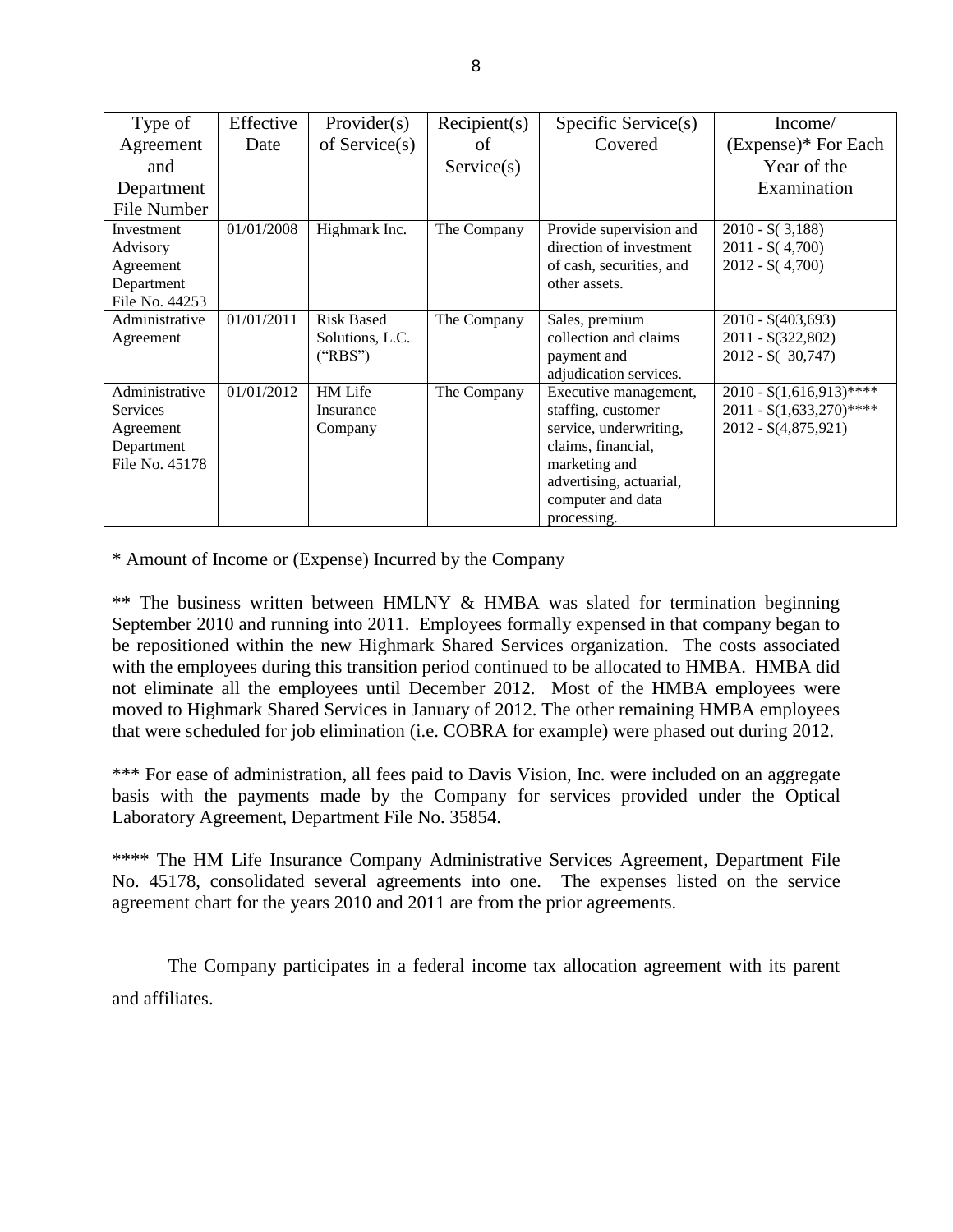| Type of                                                                        | Effective  | Provider(s)                                     | Recipient(s) | Specific Service(s)                                                                                                                                                         | Income/                                                                                            |
|--------------------------------------------------------------------------------|------------|-------------------------------------------------|--------------|-----------------------------------------------------------------------------------------------------------------------------------------------------------------------------|----------------------------------------------------------------------------------------------------|
| Agreement                                                                      | Date       | of Service $(s)$                                | of           | Covered                                                                                                                                                                     | (Expense)* For Each                                                                                |
| and                                                                            |            |                                                 | Service(s)   |                                                                                                                                                                             | Year of the                                                                                        |
| Department                                                                     |            |                                                 |              |                                                                                                                                                                             | Examination                                                                                        |
| File Number                                                                    |            |                                                 |              |                                                                                                                                                                             |                                                                                                    |
| Investment<br>Advisory<br>Agreement<br>Department<br>File No. 44253            | 01/01/2008 | Highmark Inc.                                   | The Company  | Provide supervision and<br>direction of investment<br>of cash, securities, and<br>other assets.                                                                             | $2010 - $(.3,188)$<br>$2011 - $(4,700)$<br>$2012 - $(4,700)$                                       |
| Administrative<br>Agreement                                                    | 01/01/2011 | <b>Risk Based</b><br>Solutions, L.C.<br>("RBS") | The Company  | Sales, premium<br>collection and claims<br>payment and<br>adjudication services.                                                                                            | $2010 - \frac{203,693}{$<br>$2011 - $(322,802)$<br>$2012 - $(30,747)$                              |
| Administrative<br><b>Services</b><br>Agreement<br>Department<br>File No. 45178 | 01/01/2012 | <b>HM</b> Life<br>Insurance<br>Company          | The Company  | Executive management,<br>staffing, customer<br>service, underwriting,<br>claims, financial,<br>marketing and<br>advertising, actuarial,<br>computer and data<br>processing. | $2010 - \frac{1}{61616913}$ ****<br>$2011 - \frac{1}{6} (1,633,270)$ ****<br>$2012 - $(4,875,921)$ |

\* Amount of Income or (Expense) Incurred by the Company

 \*\* The business written between HMLNY & HMBA was slated for termination beginning September 2010 and running into 2011. Employees formally expensed in that company began to be repositioned within the new Highmark Shared Services organization. The costs associated not eliminate all the employees until December 2012. Most of the HMBA employees were moved to Highmark Shared Services in January of 2012. The other remaining HMBA employees that were scheduled for job elimination (i.e. COBRA for example) were phased out during 2012. with the employees during this transition period continued to be allocated to HMBA. HMBA did

\*\*\* For ease of administration, all fees paid to Davis Vision, Inc. were included on an aggregate basis with the payments made by the Company for services provided under the Optical Laboratory Agreement, Department File No. 35854.

 \*\*\*\* The HM Life Insurance Company Administrative Services Agreement, Department File No. 45178, consolidated several agreements into one. The expenses listed on the service agreement chart for the years 2010 and 2011 are from the prior agreements.

 agreement chart for the years 2010 and 2011 are from the prior agreements. The Company participates in a federal income tax allocation agreement with its parent and affiliates.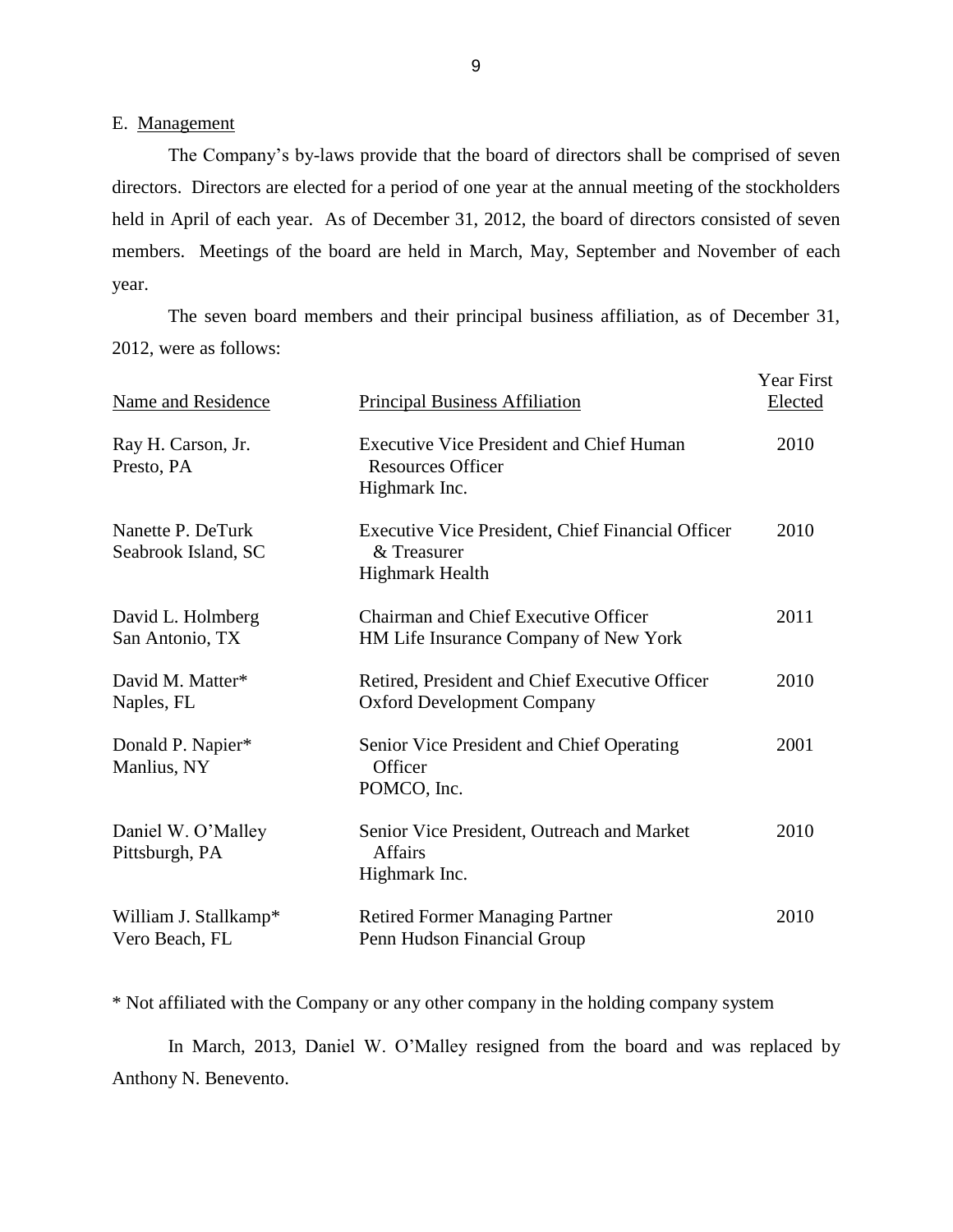E. Management

 The Company's by-laws provide that the board of directors shall be comprised of seven directors. Directors are elected for a period of one year at the annual meeting of the stockholders held in April of each year. As of December 31, 2012, the board of directors consisted of seven members. Meetings of the board are held in March, May, September and November of each year.

The seven board members and their principal business affiliation, as of December 31, 2012, were as follows:

| Name and Residence                       | <b>Principal Business Affiliation</b>                                                        | <b>Year First</b><br>Elected |
|------------------------------------------|----------------------------------------------------------------------------------------------|------------------------------|
| Ray H. Carson, Jr.<br>Presto, PA         | <b>Executive Vice President and Chief Human</b><br><b>Resources Officer</b><br>Highmark Inc. | 2010                         |
| Nanette P. DeTurk<br>Seabrook Island, SC | Executive Vice President, Chief Financial Officer<br>& Treasurer<br><b>Highmark Health</b>   | 2010                         |
| David L. Holmberg<br>San Antonio, TX     | Chairman and Chief Executive Officer<br>HM Life Insurance Company of New York                | 2011                         |
| David M. Matter*<br>Naples, FL           | Retired, President and Chief Executive Officer<br><b>Oxford Development Company</b>          | 2010                         |
| Donald P. Napier*<br>Manlius, NY         | Senior Vice President and Chief Operating<br>Officer<br>POMCO, Inc.                          | 2001                         |
| Daniel W. O'Malley<br>Pittsburgh, PA     | Senior Vice President, Outreach and Market<br><b>Affairs</b><br>Highmark Inc.                | 2010                         |
| William J. Stallkamp*<br>Vero Beach, FL  | <b>Retired Former Managing Partner</b><br>Penn Hudson Financial Group                        | 2010                         |

\* Not affiliated with the Company or any other company in the holding company system

 In March, 2013, Daniel W. O'Malley resigned from the board and was replaced by Anthony N. Benevento.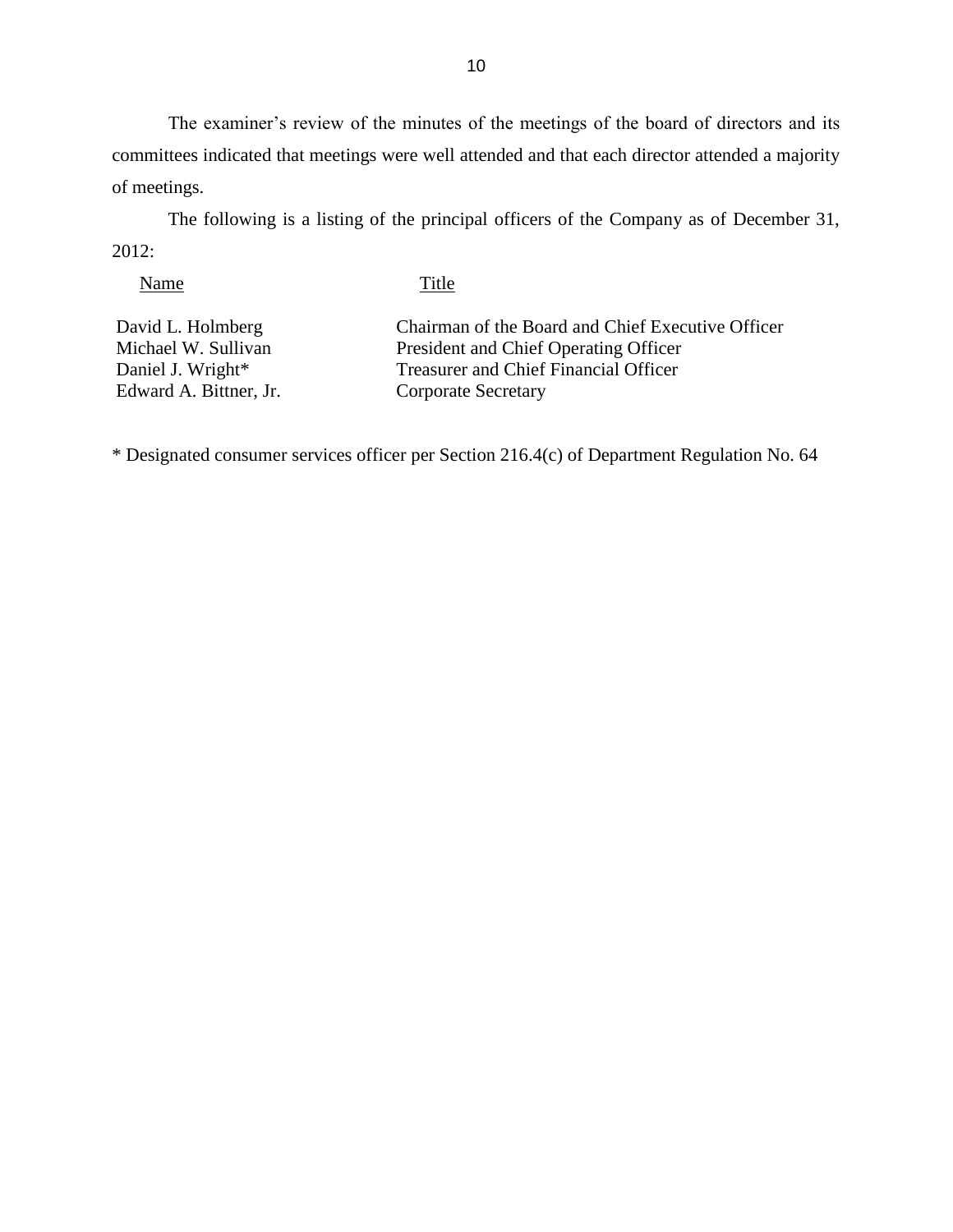The examiner's review of the minutes of the meetings of the board of directors and its committees indicated that meetings were well attended and that each director attended a majority of meetings.

The following is a listing of the principal officers of the Company as of December 31, 2012:

Name Title David L. Holmberg Chairman of the Board and Chief Executive Officer Michael W. Sullivan President and Chief Operating Officer Daniel J. Wright\* Treasurer and Chief Financial Officer Edward A. Bittner, Jr. Corporate Secretary Edward A. Bittner, Jr.

\* Designated consumer services officer per Section 216.4(c) of Department Regulation No. 64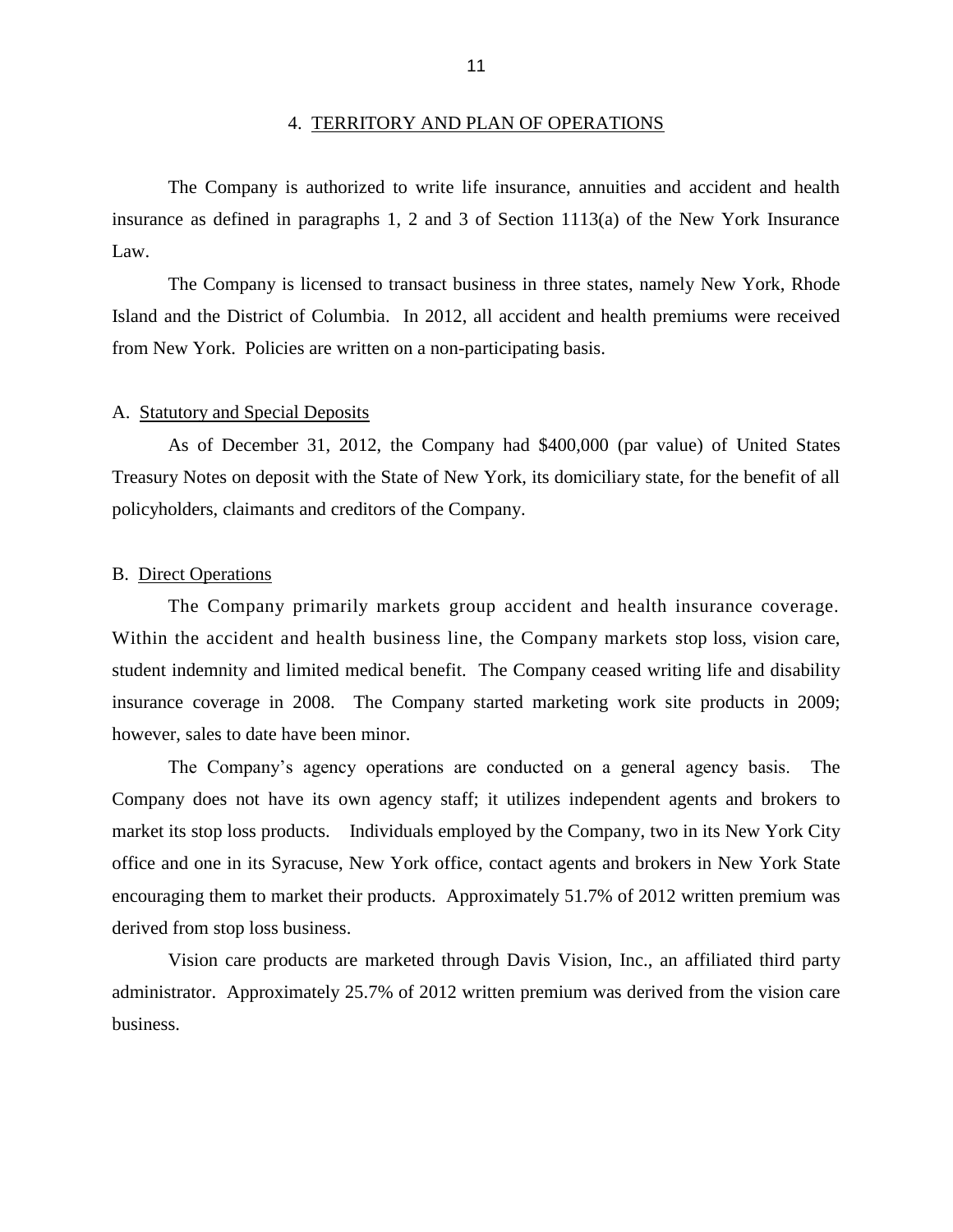<span id="page-13-0"></span> insurance as defined in paragraphs 1, 2 and 3 of Section 1113(a) of the New York Insurance The Company is authorized to write life insurance, annuities and accident and health Law.

 Island and the District of Columbia. In 2012, all accident and health premiums were received from New York. Policies are written on a non-participating basis. The Company is licensed to transact business in three states, namely New York, Rhode

## A. Statutory and Special Deposits

 As of December 31, 2012, the Company had \$400,000 (par value) of United States Treasury Notes on deposit with the State of New York, its domiciliary state, for the benefit of all policyholders, claimants and creditors of the Company.

#### B. Direct Operations

 The Company primarily markets group accident and health insurance coverage. Within the accident and health business line, the Company markets stop loss, vision care, student indemnity and limited medical benefit. The Company ceased writing life and disability insurance coverage in 2008. The Company started marketing work site products in 2009; however, sales to date have been minor.

 Company does not have its own agency staff; it utilizes independent agents and brokers to market its stop loss products. Individuals employed by the Company, two in its New York City office and one in its Syracuse, New York office, contact agents and brokers in New York State encouraging them to market their products. Approximately 51.7% of 2012 written premium was derived from stop loss business. The Company's agency operations are conducted on a general agency basis. The

 administrator. Approximately 25.7% of 2012 written premium was derived from the vision care Vision care products are marketed through Davis Vision, Inc., an affiliated third party business.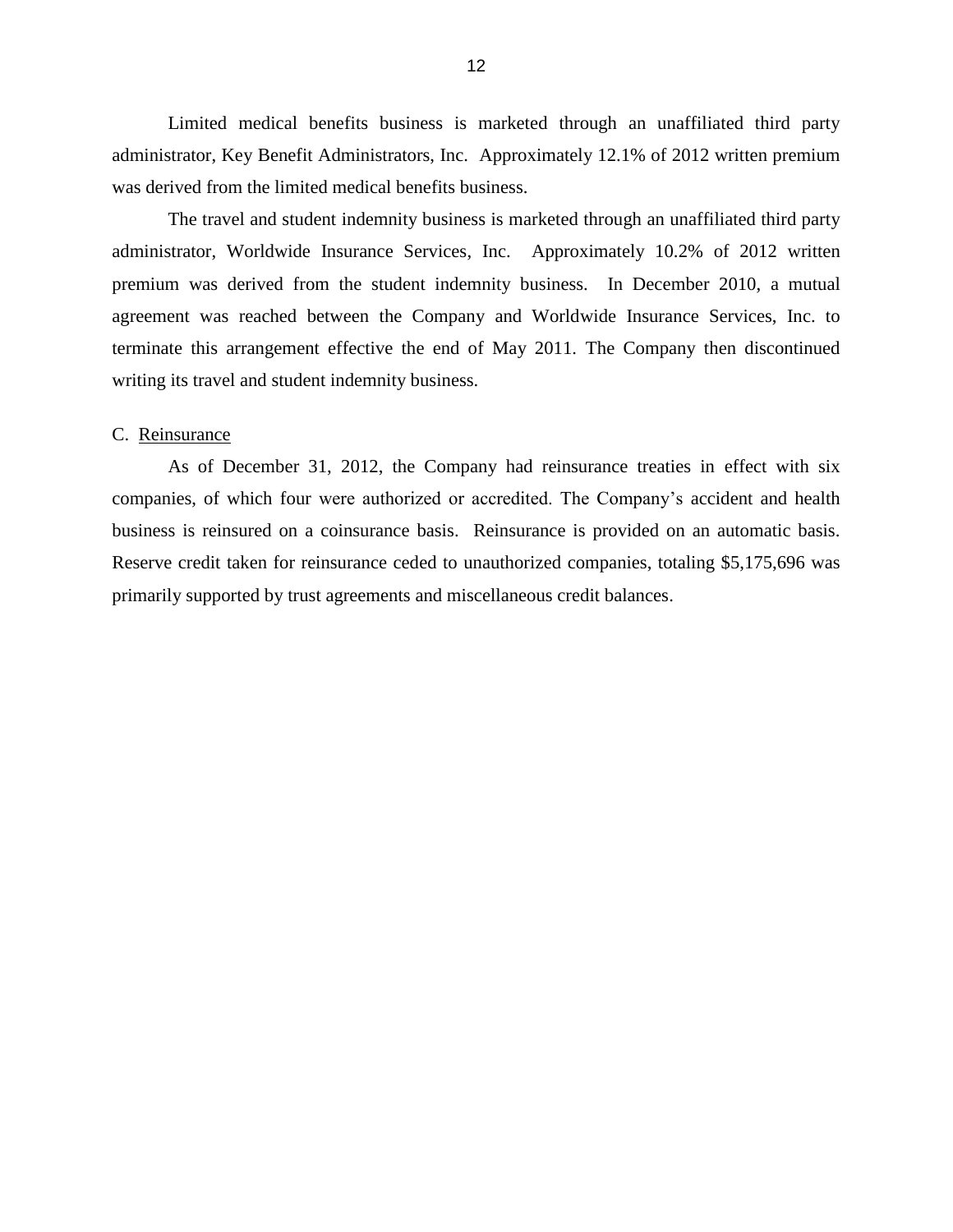<span id="page-14-0"></span> administrator, Key Benefit Administrators, Inc. Approximately 12.1% of 2012 written premium Limited medical benefits business is marketed through an unaffiliated third party was derived from the limited medical benefits business.

 The travel and student indemnity business is marketed through an unaffiliated third party administrator, Worldwide Insurance Services, Inc. Approximately 10.2% of 2012 written premium was derived from the student indemnity business. In December 2010, a mutual agreement was reached between the Company and Worldwide Insurance Services, Inc. to terminate this arrangement effective the end of May 2011. The Company then discontinued writing its travel and student indemnity business.

#### C. Reinsurance

 As of December 31, 2012, the Company had reinsurance treaties in effect with six companies, of which four were authorized or accredited. The Company's accident and health business is reinsured on a coinsurance basis. Reinsurance is provided on an automatic basis. Reserve credit taken for reinsurance ceded to unauthorized companies, totaling \$5,175,696 was primarily supported by trust agreements and miscellaneous credit balances.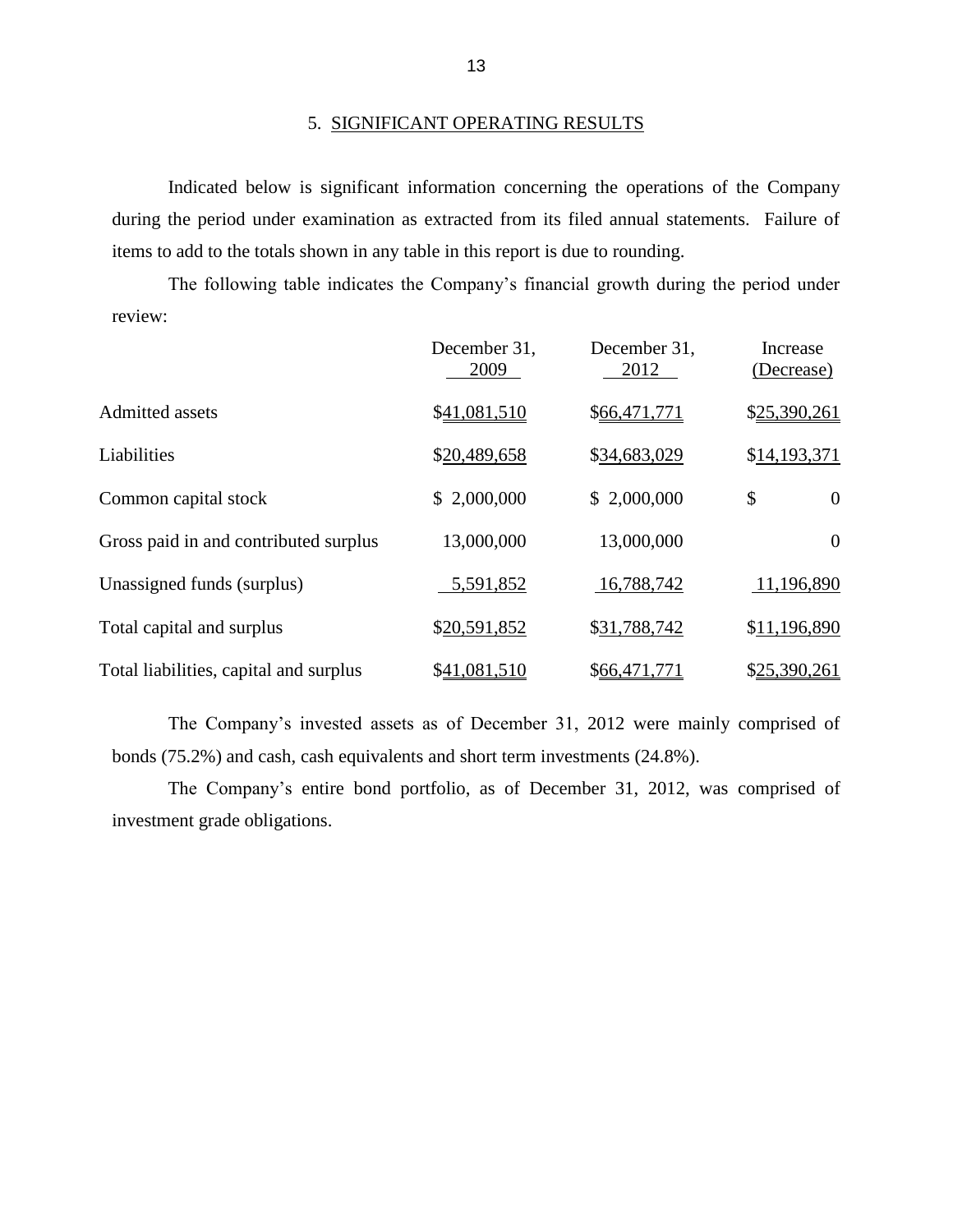#### 5. SIGNIFICANT OPERATING RESULTS

 during the period under examination as extracted from its filed annual statements. Failure of Indicated below is significant information concerning the operations of the Company items to add to the totals shown in any table in this report is due to rounding.

 The following table indicates the Company's financial growth during the period under review:

|                                        | December 31,<br>2009 | December 31,<br>2012 | Increase<br>(Decrease) |
|----------------------------------------|----------------------|----------------------|------------------------|
| <b>Admitted assets</b>                 | \$41,081,510         | \$66,471,771         | \$25,390,261           |
| Liabilities                            | \$20,489,658         | \$34,683,029         | \$14,193,371           |
| Common capital stock                   | \$2,000,000          | \$2,000,000          | \$<br>$\mathbf{0}$     |
| Gross paid in and contributed surplus  | 13,000,000           | 13,000,000           | $\theta$               |
| Unassigned funds (surplus)             | 5,591,852            | 16,788,742           | 11,196,890             |
| Total capital and surplus              | \$20,591,852         | \$31,788,742         | \$11,196,890           |
| Total liabilities, capital and surplus | \$41,081,510         | \$66,471,771         | \$25,390,261           |

 The Company's invested assets as of December 31, 2012 were mainly comprised of bonds (75.2%) and cash, cash equivalents and short term investments (24.8%).

The Company's entire bond portfolio, as of December 31, 2012, was comprised of investment grade obligations.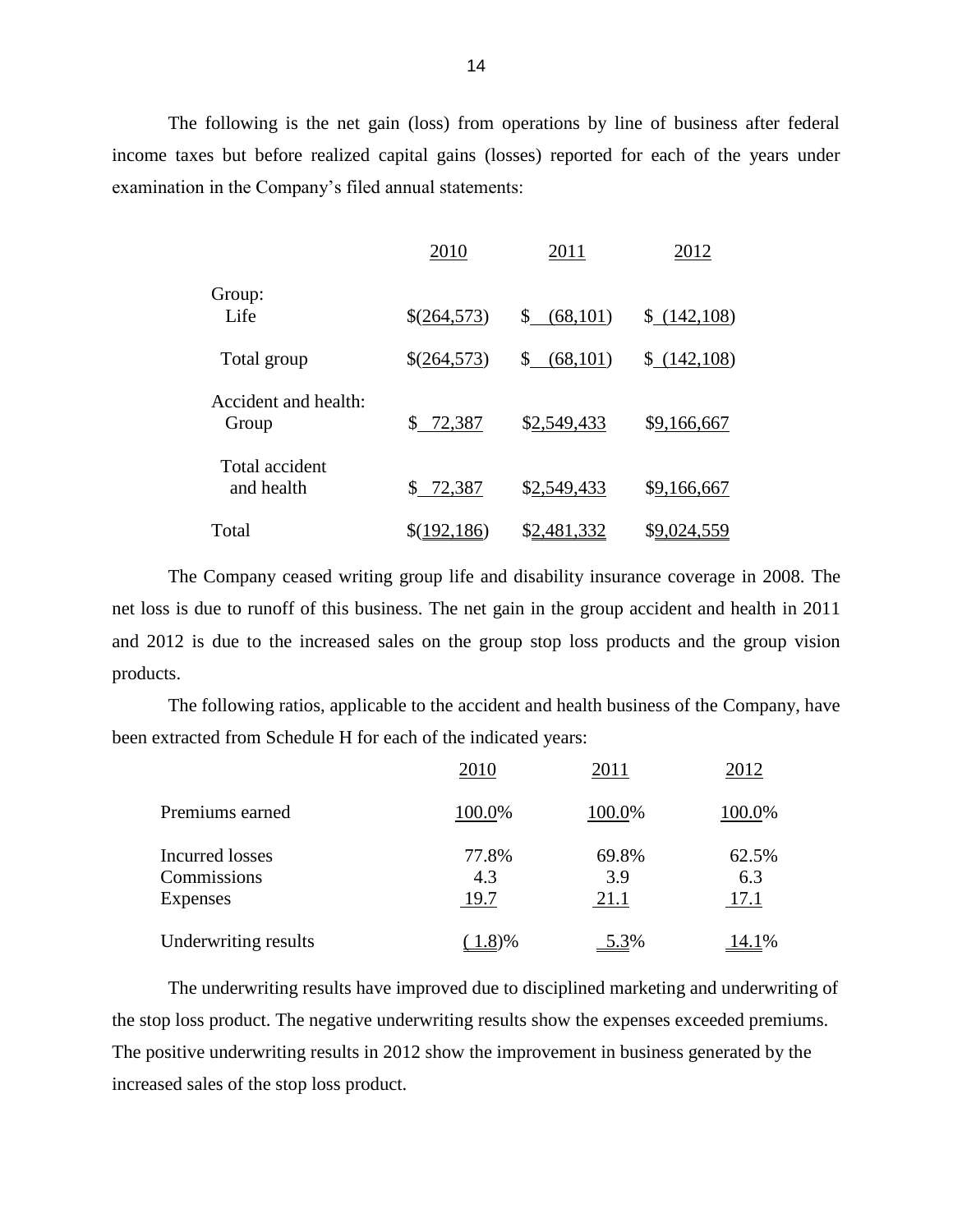income taxes but before realized capital gains (losses) reported for each of the years under The following is the net gain (loss) from operations by line of business after federal examination in the Company's filed annual statements:

|                               | 2010         | 2011                      | 2012         |
|-------------------------------|--------------|---------------------------|--------------|
| Group:<br>Life                | \$(264,573)  | $\mathbb{S}$<br>(68, 101) | \$ (142,108) |
| Total group                   | \$(264,573)  | $\mathbb{S}$<br>(68, 101) | \$(142,108)  |
| Accident and health:<br>Group | \$72,387     | \$2,549,433               | \$9,166,667  |
| Total accident<br>and health  | \$ 72,387    | \$2,549,433               | \$9,166,667  |
| Total                         | \$(192, 186) | \$2,481,332               | \$9,024,559  |

 The Company ceased writing group life and disability insurance coverage in 2008. The net loss is due to runoff of this business. The net gain in the group accident and health in 2011 and 2012 is due to the increased sales on the group stop loss products and the group vision products.

The following ratios, applicable to the accident and health business of the Company, have been extracted from Schedule H for each of the indicated years:

|                                                          | 2010                 | 2011                 | 2012                 |
|----------------------------------------------------------|----------------------|----------------------|----------------------|
| Premiums earned                                          | 100.0%               | 100.0%               | 100.0%               |
| <b>Incurred losses</b><br>Commissions<br><b>Expenses</b> | 77.8%<br>4.3<br>19.7 | 69.8%<br>3.9<br>21.1 | 62.5%<br>6.3<br>17.1 |
| Underwriting results                                     | <u>1.8</u> )%        | 5.3%                 | <u>14.1%</u>         |

The underwriting results have improved due to disciplined marketing and underwriting of the stop loss product. The negative underwriting results show the expenses exceeded premiums. The positive underwriting results in 2012 show the improvement in business generated by the increased sales of the stop loss product.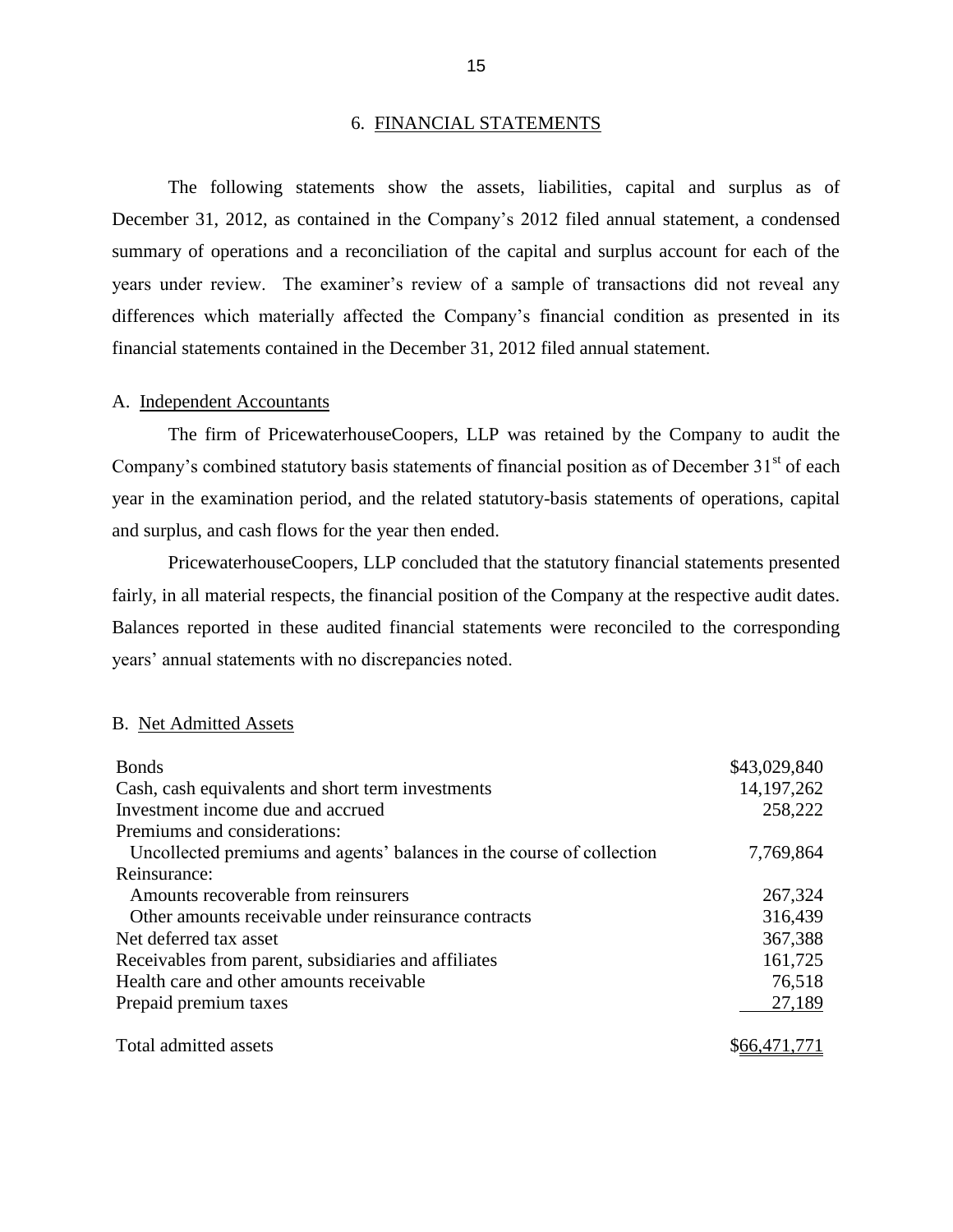#### 6. FINANCIAL STATEMENTS

 December 31, 2012, as contained in the Company's 2012 filed annual statement, a condensed summary of operations and a reconciliation of the capital and surplus account for each of the years under review. The examiner's review of a sample of transactions did not reveal any The following statements show the assets, liabilities, capital and surplus as of differences which materially affected the Company's financial condition as presented in its financial statements contained in the December 31, 2012 filed annual statement.

#### A. Independent Accountants

Company's combined statutory basis statements of financial position as of December  $31<sup>st</sup>$  of each The firm of PricewaterhouseCoopers, LLP was retained by the Company to audit the year in the examination period, and the related statutory-basis statements of operations, capital and surplus, and cash flows for the year then ended.

 PricewaterhouseCoopers, LLP concluded that the statutory financial statements presented fairly, in all material respects, the financial position of the Company at the respective audit dates. Balances reported in these audited financial statements were reconciled to the corresponding years' annual statements with no discrepancies noted.

#### B. Net Admitted Assets

| <b>Bonds</b>                                                          | \$43,029,840 |
|-----------------------------------------------------------------------|--------------|
| Cash, cash equivalents and short term investments                     | 14, 197, 262 |
| Investment income due and accrued                                     | 258,222      |
| Premiums and considerations:                                          |              |
| Uncollected premiums and agents' balances in the course of collection | 7,769,864    |
| Reinsurance:                                                          |              |
| Amounts recoverable from reinsurers                                   | 267,324      |
| Other amounts receivable under reinsurance contracts                  | 316,439      |
| Net deferred tax asset                                                | 367,388      |
| Receivables from parent, subsidiaries and affiliates                  | 161,725      |
| Health care and other amounts receivable                              | 76,518       |
| Prepaid premium taxes                                                 | 27,189       |
| Total admitted assets                                                 |              |
|                                                                       | \$66,471,771 |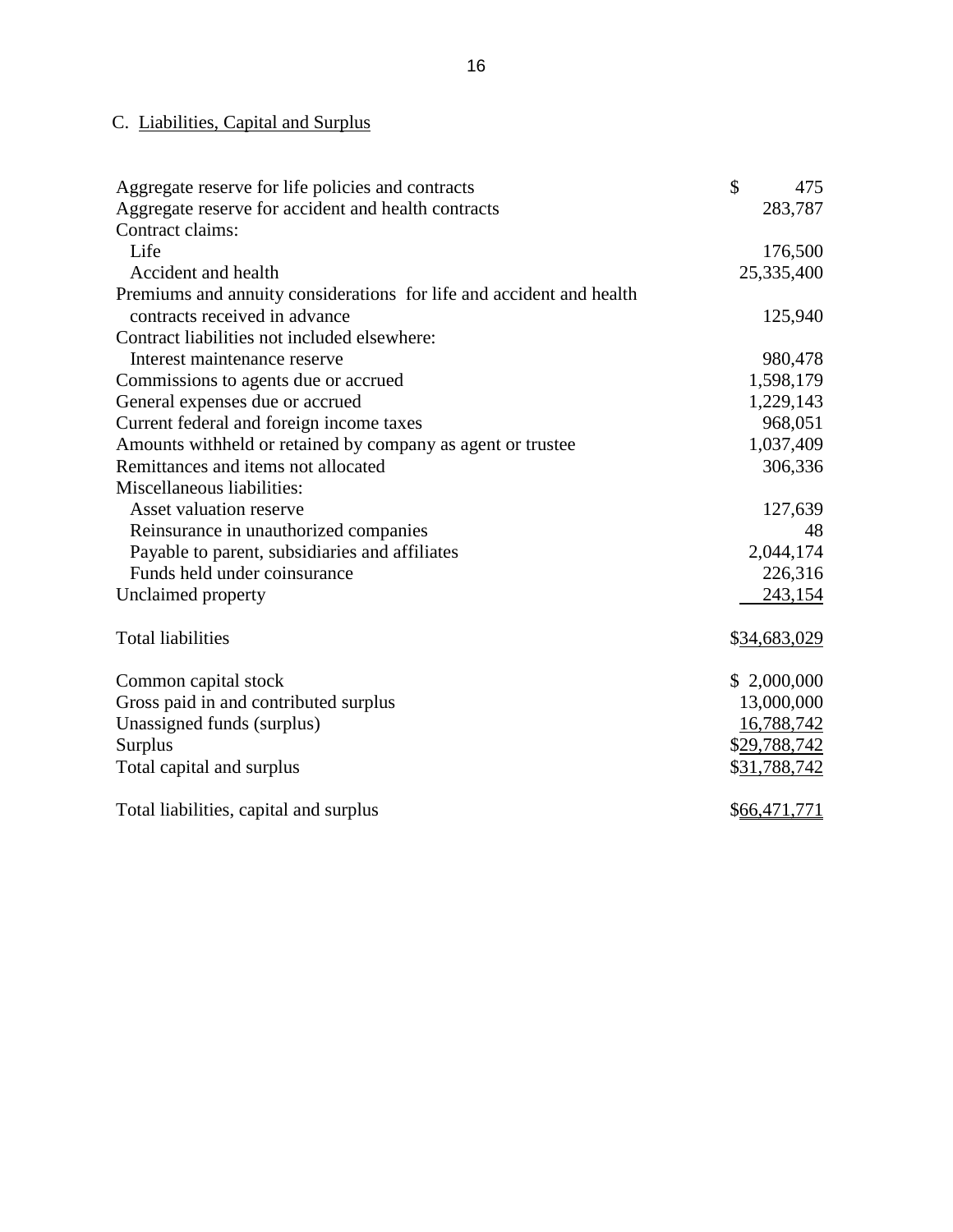# C. Liabilities, Capital and Surplus

| Aggregate reserve for life policies and contracts                    | \$<br>475    |
|----------------------------------------------------------------------|--------------|
| Aggregate reserve for accident and health contracts                  | 283,787      |
| Contract claims:                                                     |              |
| Life                                                                 | 176,500      |
| Accident and health                                                  | 25,335,400   |
| Premiums and annuity considerations for life and accident and health |              |
| contracts received in advance                                        | 125,940      |
| Contract liabilities not included elsewhere:                         |              |
| Interest maintenance reserve                                         | 980,478      |
| Commissions to agents due or accrued                                 | 1,598,179    |
| General expenses due or accrued                                      | 1,229,143    |
| Current federal and foreign income taxes                             | 968,051      |
| Amounts withheld or retained by company as agent or trustee          | 1,037,409    |
| Remittances and items not allocated                                  | 306,336      |
| Miscellaneous liabilities:                                           |              |
| Asset valuation reserve                                              | 127,639      |
| Reinsurance in unauthorized companies                                | 48           |
| Payable to parent, subsidiaries and affiliates                       | 2,044,174    |
| Funds held under coinsurance                                         | 226,316      |
| Unclaimed property                                                   | 243,154      |
| <b>Total liabilities</b>                                             | \$34,683,029 |
| Common capital stock                                                 | \$2,000,000  |
| Gross paid in and contributed surplus                                | 13,000,000   |
| Unassigned funds (surplus)                                           | 16,788,742   |
| Surplus                                                              | \$29,788,742 |
| Total capital and surplus                                            | \$31,788,742 |
|                                                                      |              |
| Total liabilities, capital and surplus                               | \$66,471,771 |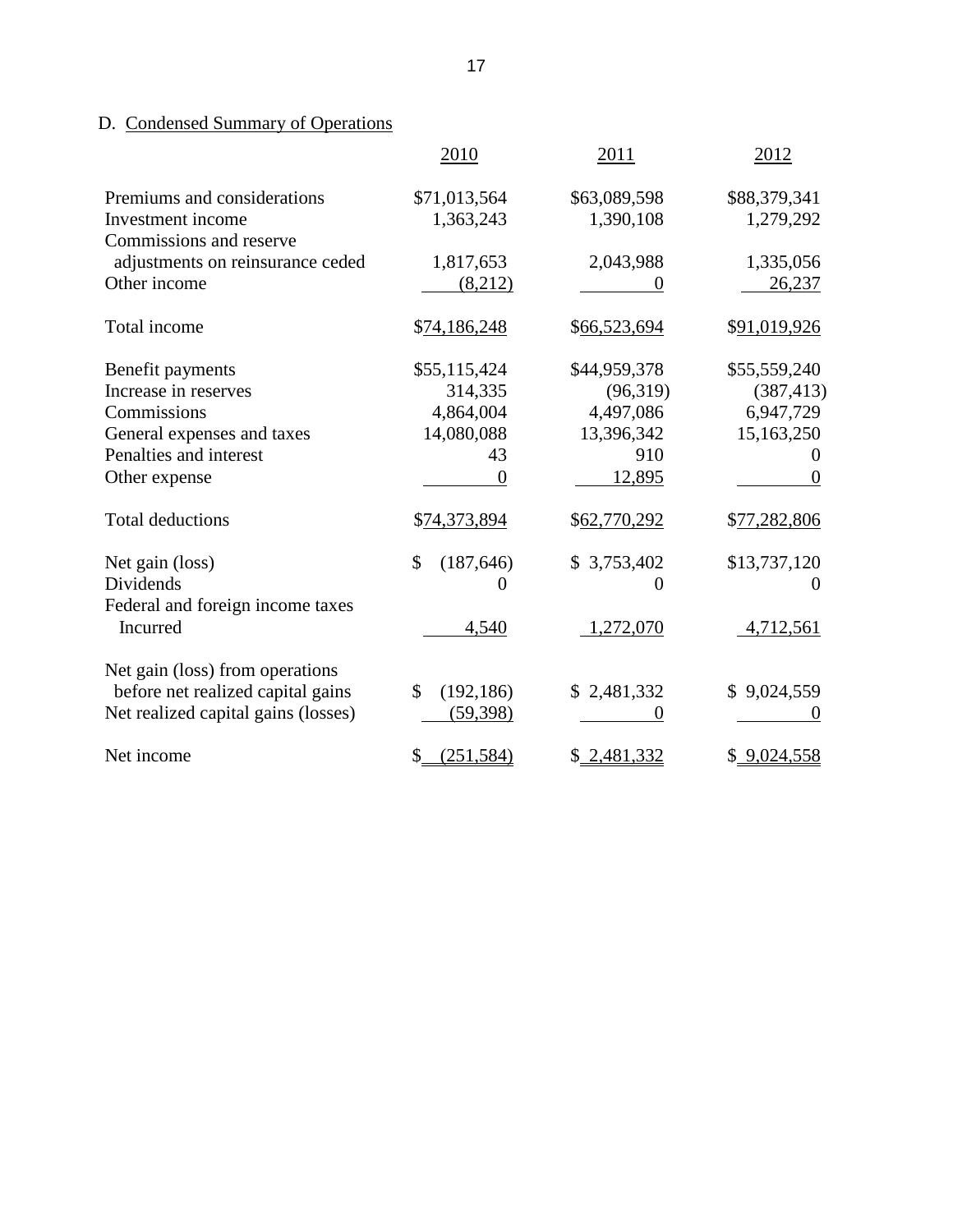# D. Condensed Summary of Operations

|                                     | 2010                        | 2011              | 2012         |
|-------------------------------------|-----------------------------|-------------------|--------------|
| Premiums and considerations         | \$71,013,564                | \$63,089,598      | \$88,379,341 |
| Investment income                   | 1,363,243                   | 1,390,108         | 1,279,292    |
| Commissions and reserve             |                             |                   |              |
| adjustments on reinsurance ceded    | 1,817,653                   | 2,043,988         | 1,335,056    |
| Other income                        | (8,212)                     | $\Omega$          | 26,237       |
| Total income                        | \$74,186,248                | \$66,523,694      | \$91,019,926 |
| Benefit payments                    | \$55,115,424                | \$44,959,378      | \$55,559,240 |
| Increase in reserves                | 314,335                     | (96,319)          | (387, 413)   |
| Commissions                         | 4,864,004                   | 4,497,086         | 6,947,729    |
| General expenses and taxes          | 14,080,088                  | 13,396,342        | 15,163,250   |
| Penalties and interest              | 43                          | 910               |              |
| Other expense                       | $\overline{0}$              | 12,895            | 0            |
| <b>Total deductions</b>             | \$74,373,894                | \$62,770,292      | \$77,282,806 |
| Net gain (loss)                     | \$<br>(187, 646)            | \$3,753,402       | \$13,737,120 |
| Dividends                           |                             | $\mathbf{\Omega}$ | 0            |
| Federal and foreign income taxes    |                             |                   |              |
| Incurred                            | 4,540                       | 1,272,070         | 4,712,561    |
| Net gain (loss) from operations     |                             |                   |              |
| before net realized capital gains   | $\mathcal{S}$<br>(192, 186) | \$2,481,332       | \$9,024,559  |
| Net realized capital gains (losses) | (59, 398)                   | $\Omega$          |              |
| Net income                          | (251, 584)<br>\$            | \$2,481,332       | \$9,024,558  |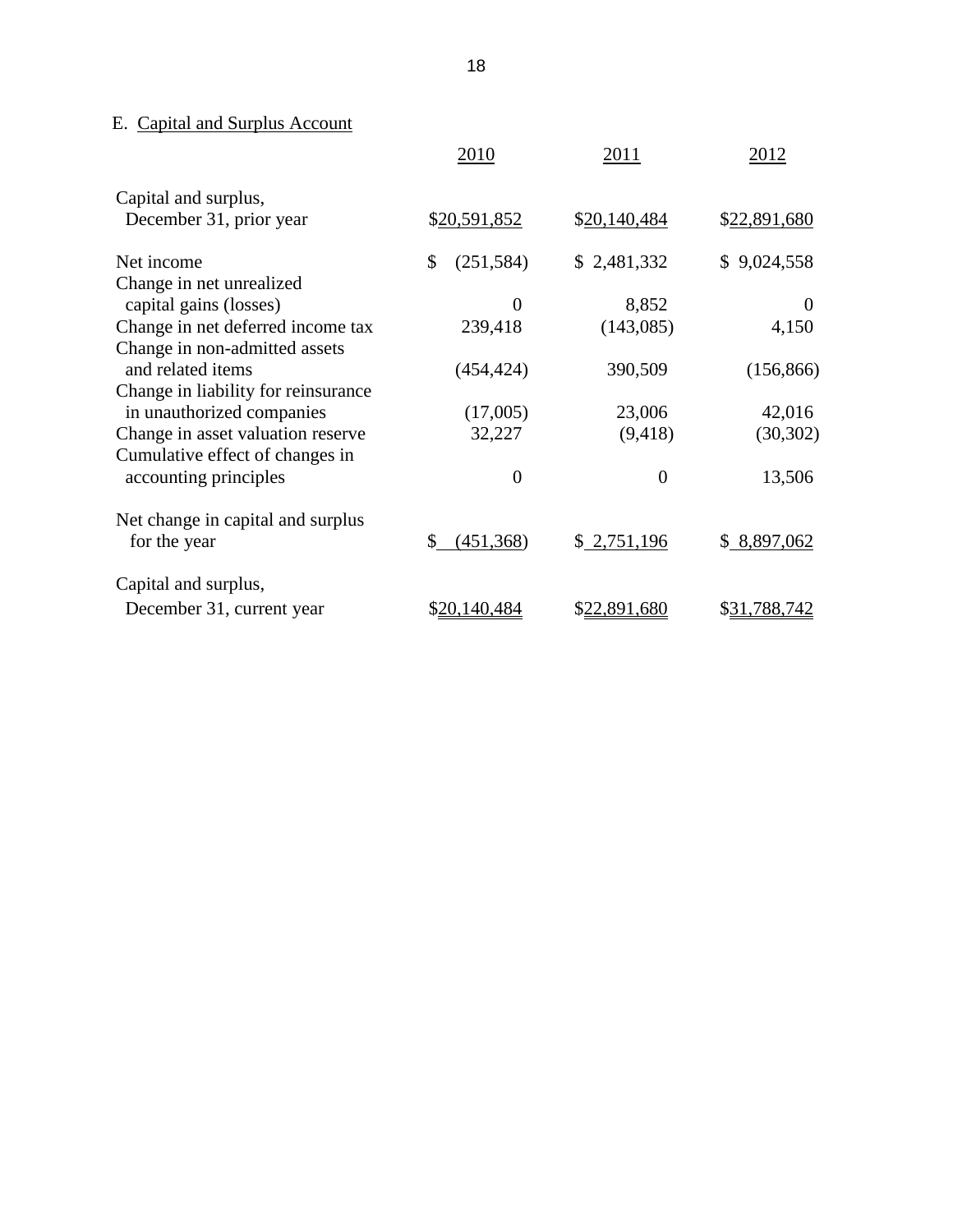# E. Capital and Surplus Account

|                                                                  | 2010             | 2011           | 2012         |
|------------------------------------------------------------------|------------------|----------------|--------------|
| Capital and surplus,<br>December 31, prior year                  | \$20,591,852     | \$20,140,484   | \$22,891,680 |
| Net income                                                       | \$<br>(251, 584) | \$2,481,332    | \$9,024,558  |
| Change in net unrealized<br>capital gains (losses)               | $\overline{0}$   | 8,852          | $\Omega$     |
| Change in net deferred income tax                                | 239,418          | (143,085)      | 4,150        |
| Change in non-admitted assets<br>and related items               | (454, 424)       | 390,509        | (156, 866)   |
| Change in liability for reinsurance<br>in unauthorized companies | (17,005)         | 23,006         | 42,016       |
| Change in asset valuation reserve                                | 32,227           | (9, 418)       | (30, 302)    |
| Cumulative effect of changes in<br>accounting principles         | $\overline{0}$   | $\overline{0}$ | 13,506       |
| Net change in capital and surplus<br>for the year                | (451,368)<br>\$  | \$2,751,196    | \$8,897,062  |
| Capital and surplus,                                             |                  |                |              |
| December 31, current year                                        | \$20,140,484     | \$22,891,680   | \$31,788,742 |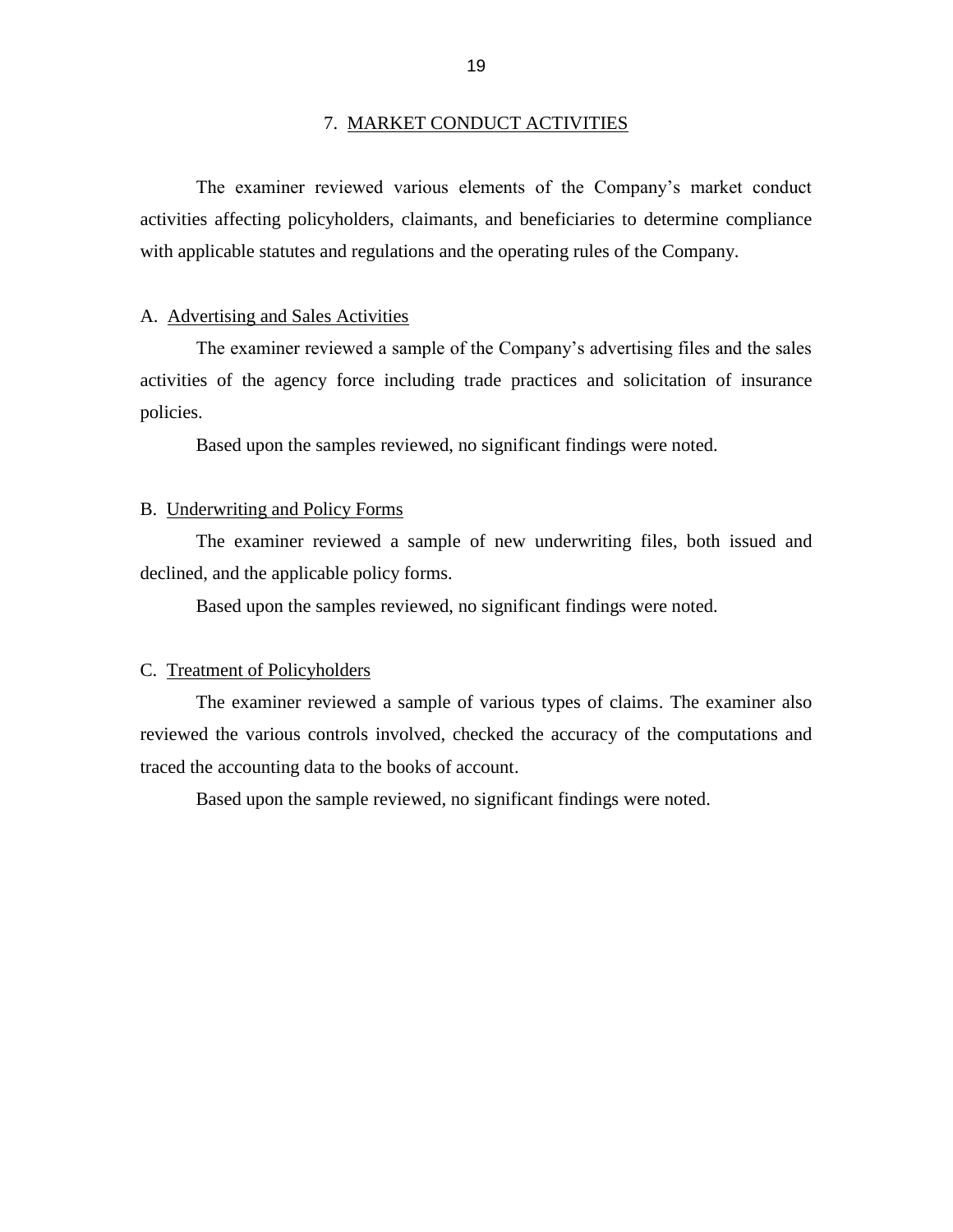<span id="page-21-0"></span> The examiner reviewed various elements of the Company's market conduct activities affecting policyholders, claimants, and beneficiaries to determine compliance with applicable statutes and regulations and the operating rules of the Company.

#### A. Advertising and Sales Activities

 The examiner reviewed a sample of the Company's advertising files and the sales activities of the agency force including trade practices and solicitation of insurance policies.

Based upon the samples reviewed, no significant findings were noted.

#### B. Underwriting and Policy Forms

The examiner reviewed a sample of new underwriting files, both issued and declined, and the applicable policy forms.

Based upon the samples reviewed, no significant findings were noted.

### C. Treatment of Policyholders

 reviewed the various controls involved, checked the accuracy of the computations and The examiner reviewed a sample of various types of claims. The examiner also traced the accounting data to the books of account.

Based upon the sample reviewed, no significant findings were noted.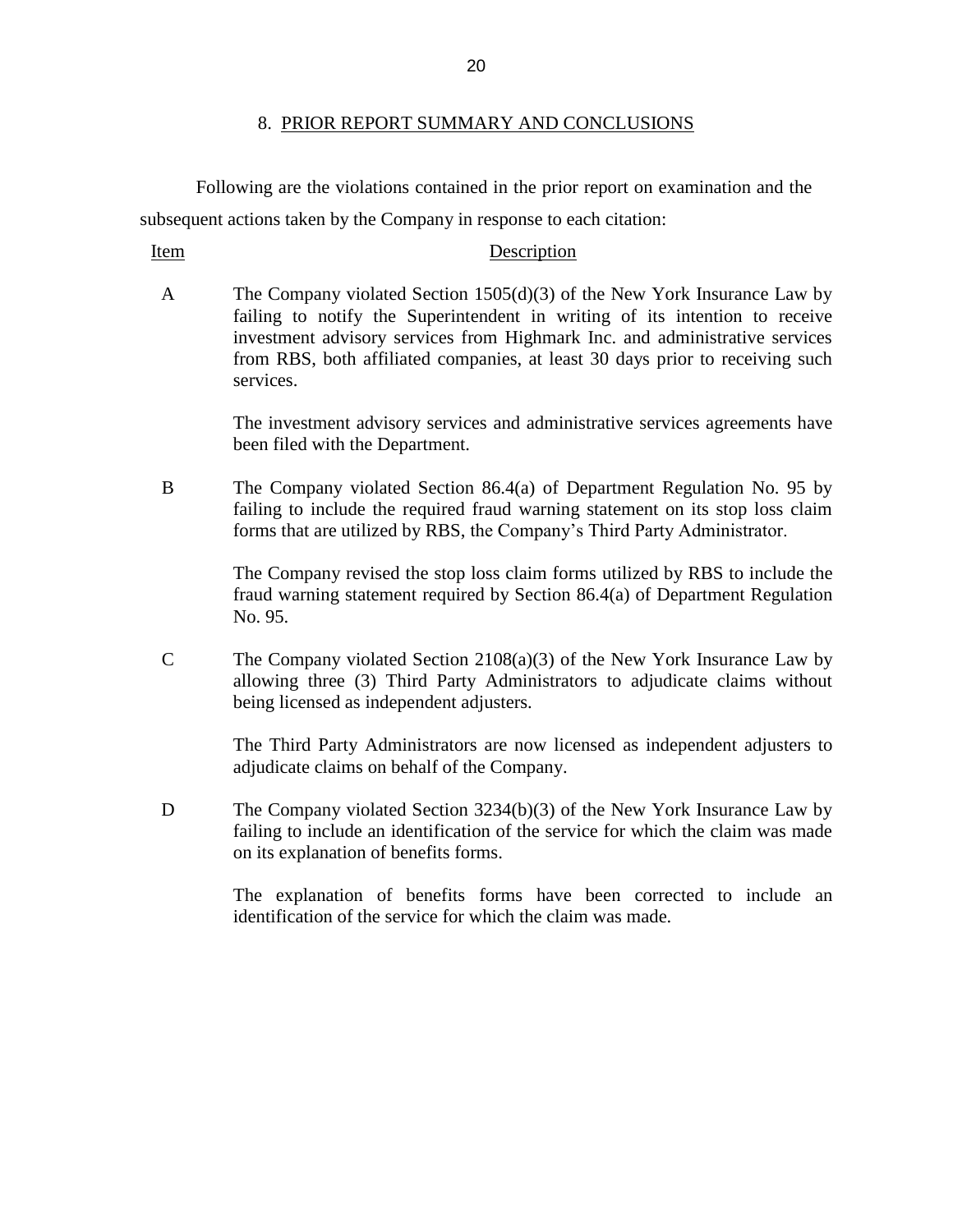#### 8. PRIOR REPORT SUMMARY AND CONCLUSIONS

 Following are the violations contained in the prior report on examination and the subsequent actions taken by the Company in response to each citation:

Item Description

 A The Company violated Section 1505(d)(3) of the New York Insurance Law by failing to notify the Superintendent in writing of its intention to receive investment advisory services from Highmark Inc. and administrative services from RBS, both affiliated companies, at least 30 days prior to receiving such services.

> The investment advisory services and administrative services agreements have been filed with the Department.

 B The Company violated Section 86.4(a) of Department Regulation No. 95 by failing to include the required fraud warning statement on its stop loss claim forms that are utilized by RBS, the Company's Third Party Administrator.

> The Company revised the stop loss claim forms utilized by RBS to include the fraud warning statement required by Section 86.4(a) of Department Regulation No. 95.

 C The Company violated Section 2108(a)(3) of the New York Insurance Law by allowing three (3) Third Party Administrators to adjudicate claims without being licensed as independent adjusters.

> The Third Party Administrators are now licensed as independent adjusters to adjudicate claims on behalf of the Company.

D The Company violated Section 3234(b)(3) of the New York Insurance Law by failing to include an identification of the service for which the claim was made on its explanation of benefits forms.

> The explanation of benefits forms have been corrected to include an identification of the service for which the claim was made.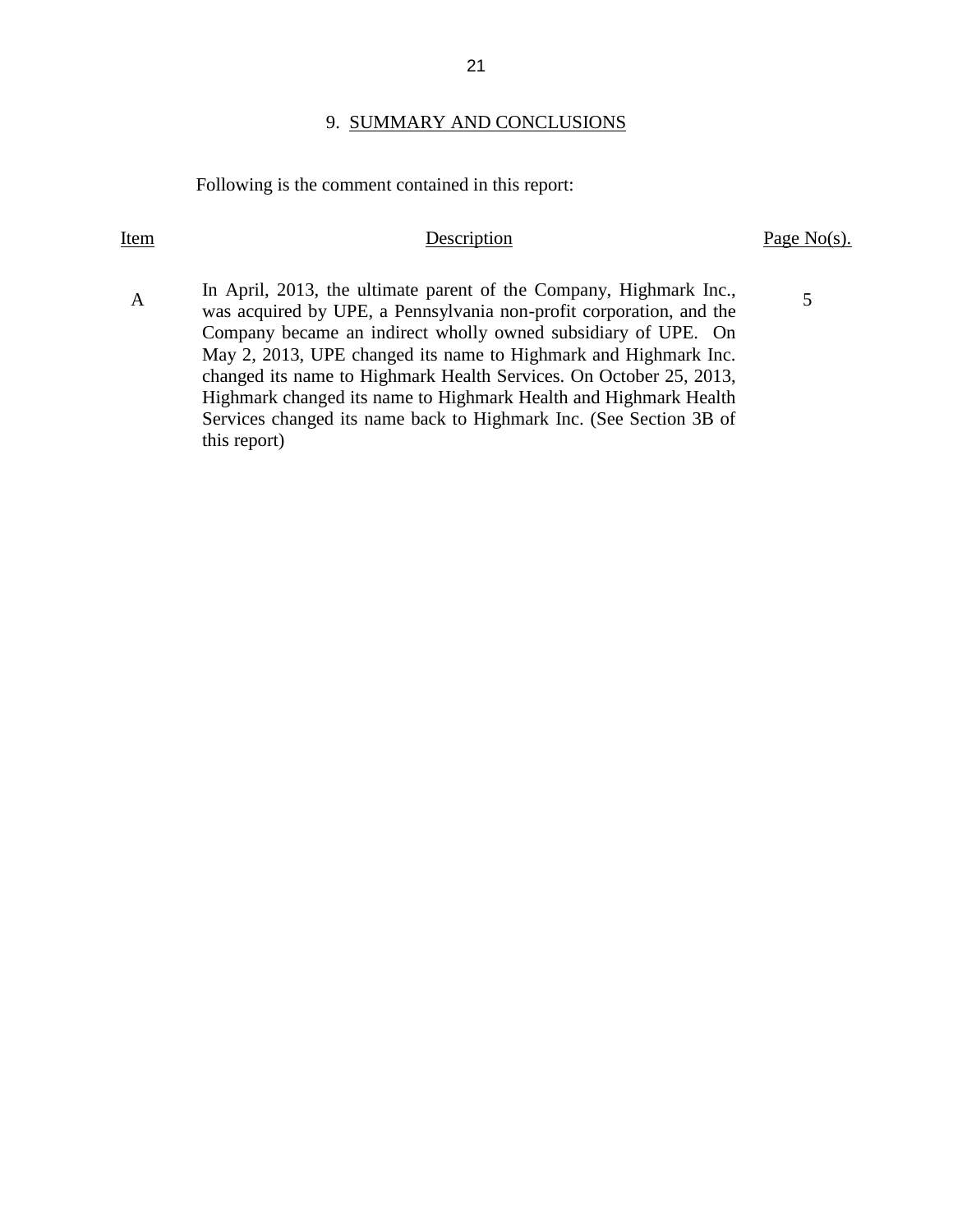## 9. SUMMARY AND CONCLUSIONS

Following is the comment contained in this report:

Item Description Description Page No(s).

5

A In April, 2013, the ultimate parent of the Company, Highmark Inc., was acquired by UPE, a Pennsylvania non-profit corporation, and the Company became an indirect wholly owned subsidiary of UPE. On May 2, 2013, UPE changed its name to Highmark and Highmark Inc. changed its name to Highmark Health Services. On October 25, 2013, Services changed its name back to Highmark Inc. (See Section 3B of Highmark changed its name to Highmark Health and Highmark Health this report)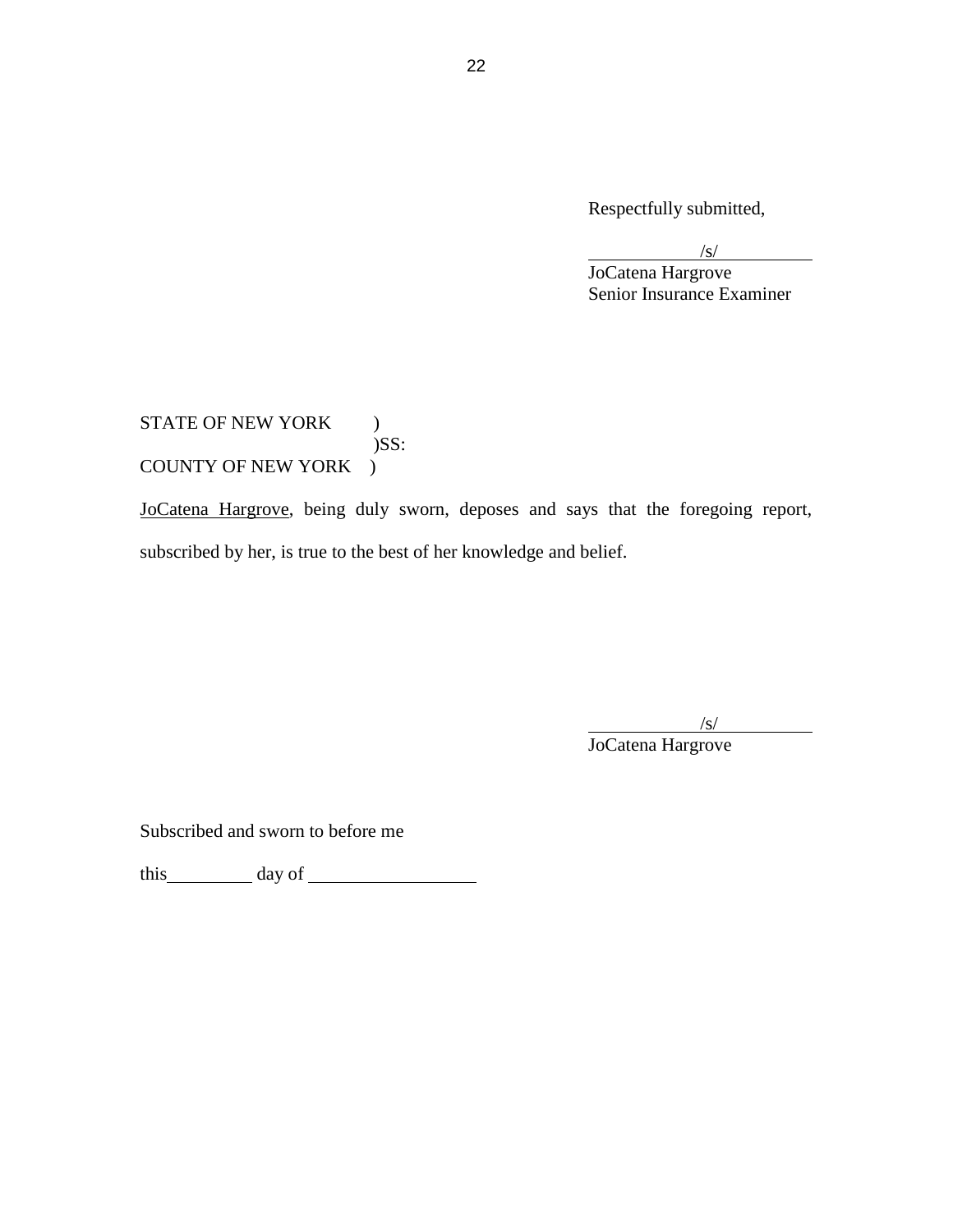Respectfully submitted,

 $\frac{1}{s}$ 

JoCatena Hargrove Senior Insurance Examiner

COUNTY OF NEW YORK ) STATE OF NEW YORK ) )SS:

COUNTY OF NEW YORK )<br>JoCatena Hargrove, being duly sworn, deposes and says that the foregoing report, subscribed by her, is true to the best of her knowledge and belief.

 $\sqrt{s}$ 

JoCatena Hargrove

Subscribed and sworn to before me

this day of